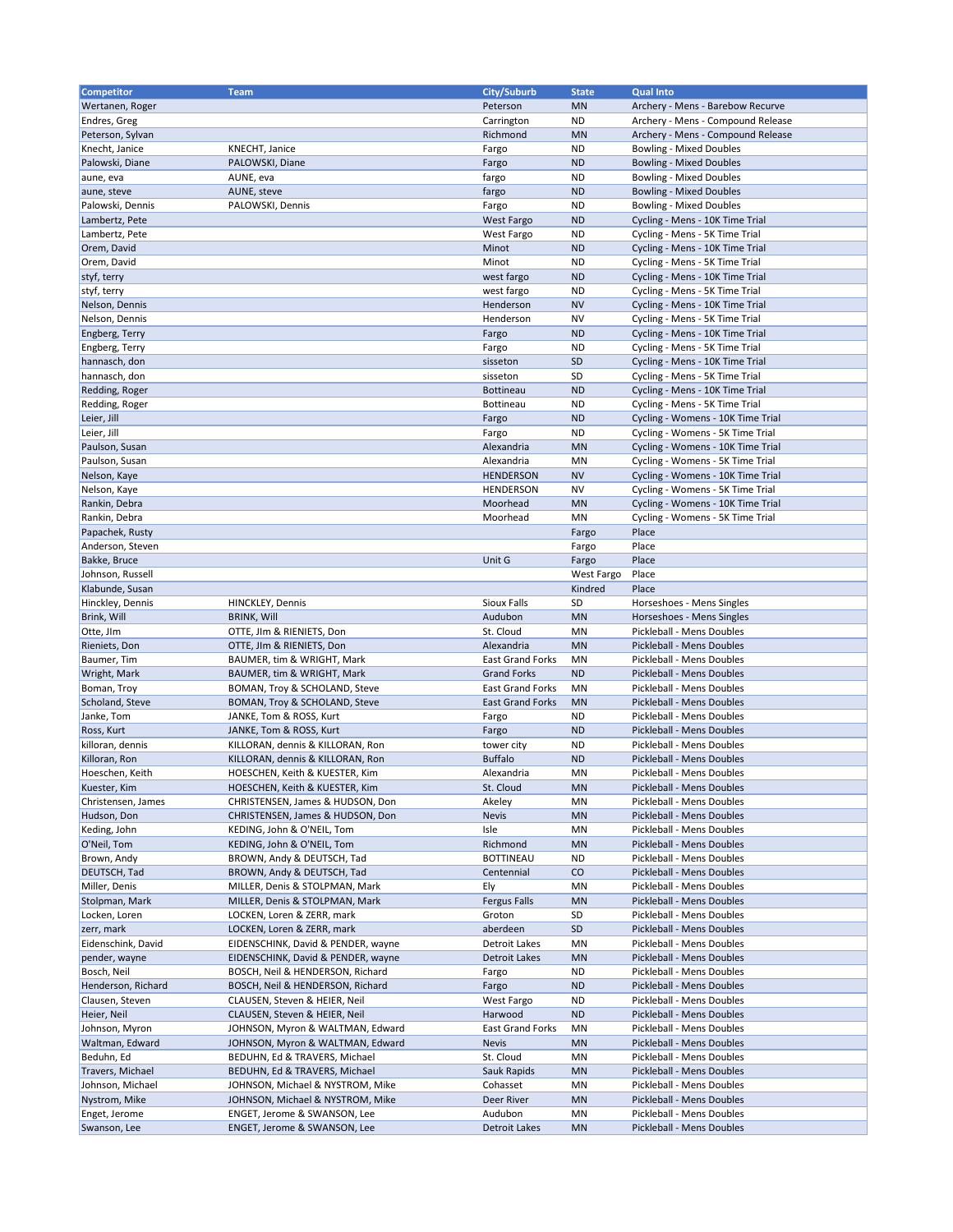| Competitor                       | <b>Team</b>                        | City/Suburb             | <b>State</b>    | <b>Qual Into</b>                                                       |
|----------------------------------|------------------------------------|-------------------------|-----------------|------------------------------------------------------------------------|
| Wertanen, Roger                  |                                    | Peterson                | <b>MN</b>       | Archery - Mens - Barebow Recurve                                       |
|                                  |                                    |                         |                 |                                                                        |
| Endres, Greg<br>Peterson, Sylvan |                                    | Carrington<br>Richmond  | ND<br><b>MN</b> | Archery - Mens - Compound Release<br>Archery - Mens - Compound Release |
| Knecht, Janice                   |                                    |                         | <b>ND</b>       |                                                                        |
| Palowski, Diane                  | KNECHT, Janice                     | Fargo                   | <b>ND</b>       | <b>Bowling - Mixed Doubles</b>                                         |
|                                  | PALOWSKI, Diane<br>AUNE, eva       | Fargo                   | <b>ND</b>       | <b>Bowling - Mixed Doubles</b>                                         |
| aune, eva                        |                                    | fargo                   | <b>ND</b>       | <b>Bowling - Mixed Doubles</b>                                         |
| aune, steve                      | AUNE, steve                        | fargo                   |                 | <b>Bowling - Mixed Doubles</b>                                         |
| Palowski, Dennis                 | PALOWSKI, Dennis                   | Fargo                   | <b>ND</b>       | <b>Bowling - Mixed Doubles</b>                                         |
| Lambertz, Pete                   |                                    | West Fargo              | <b>ND</b>       | Cycling - Mens - 10K Time Trial                                        |
| Lambertz, Pete                   |                                    | West Fargo              | <b>ND</b>       | Cycling - Mens - 5K Time Trial                                         |
| Orem, David                      |                                    | Minot                   | <b>ND</b>       | Cycling - Mens - 10K Time Trial                                        |
| Orem, David                      |                                    | Minot                   | <b>ND</b>       | Cycling - Mens - 5K Time Trial                                         |
| styf, terry                      |                                    | west fargo              | <b>ND</b>       | Cycling - Mens - 10K Time Trial                                        |
| styf, terry                      |                                    | west fargo              | <b>ND</b>       | Cycling - Mens - 5K Time Trial                                         |
| Nelson, Dennis                   |                                    | Henderson               | <b>NV</b>       | Cycling - Mens - 10K Time Trial                                        |
| Nelson, Dennis                   |                                    | Henderson               | <b>NV</b>       | Cycling - Mens - 5K Time Trial                                         |
| Engberg, Terry                   |                                    | Fargo                   | <b>ND</b>       | Cycling - Mens - 10K Time Trial                                        |
| Engberg, Terry                   |                                    | Fargo                   | <b>ND</b>       | Cycling - Mens - 5K Time Trial                                         |
| hannasch, don                    |                                    | sisseton                | <b>SD</b>       | Cycling - Mens - 10K Time Trial                                        |
| hannasch, don                    |                                    | sisseton                | SD              | Cycling - Mens - 5K Time Trial                                         |
| Redding, Roger                   |                                    | <b>Bottineau</b>        | <b>ND</b>       | Cycling - Mens - 10K Time Trial                                        |
| Redding, Roger                   |                                    | Bottineau               | <b>ND</b>       | Cycling - Mens - 5K Time Trial                                         |
| Leier, Jill                      |                                    | Fargo                   | <b>ND</b>       | Cycling - Womens - 10K Time Trial                                      |
| Leier, Jill                      |                                    | Fargo                   | <b>ND</b>       | Cycling - Womens - 5K Time Trial                                       |
| Paulson, Susan                   |                                    | Alexandria              | <b>MN</b>       | Cycling - Womens - 10K Time Trial                                      |
| Paulson, Susan                   |                                    | Alexandria              | MN              | Cycling - Womens - 5K Time Trial                                       |
| Nelson, Kaye                     |                                    | <b>HENDERSON</b>        | <b>NV</b>       | Cycling - Womens - 10K Time Trial                                      |
| Nelson, Kaye                     |                                    | <b>HENDERSON</b>        | ΝV              | Cycling - Womens - 5K Time Trial                                       |
| Rankin, Debra                    |                                    | Moorhead                | <b>MN</b>       | Cycling - Womens - 10K Time Trial                                      |
| Rankin, Debra                    |                                    | Moorhead                | MN              | Cycling - Womens - 5K Time Trial                                       |
| Papachek, Rusty                  |                                    |                         | Fargo           | Place                                                                  |
| Anderson, Steven                 |                                    |                         | Fargo           | Place                                                                  |
| Bakke, Bruce                     |                                    | Unit G                  | Fargo           | Place                                                                  |
| Johnson, Russell                 |                                    |                         | West Fargo      | Place                                                                  |
| Klabunde, Susan                  |                                    |                         | Kindred         | Place                                                                  |
| Hinckley, Dennis                 | HINCKLEY, Dennis                   | Sioux Falls             | SD              | Horseshoes - Mens Singles                                              |
| Brink, Will                      | <b>BRINK, Will</b>                 | Audubon                 | <b>MN</b>       | Horseshoes - Mens Singles                                              |
| Otte, JIm                        | OTTE, JIm & RIENIETS, Don          | St. Cloud               | MN              | Pickleball - Mens Doubles                                              |
| Rieniets, Don                    | OTTE, JIm & RIENIETS, Don          | Alexandria              | <b>MN</b>       | Pickleball - Mens Doubles                                              |
| Baumer, Tim                      | BAUMER, tim & WRIGHT, Mark         | <b>East Grand Forks</b> | MN              | Pickleball - Mens Doubles                                              |
| Wright, Mark                     | BAUMER, tim & WRIGHT, Mark         | <b>Grand Forks</b>      | <b>ND</b>       | Pickleball - Mens Doubles                                              |
| Boman, Troy                      | BOMAN, Troy & SCHOLAND, Steve      | <b>East Grand Forks</b> | MN              | Pickleball - Mens Doubles                                              |
| Scholand, Steve                  | BOMAN, Troy & SCHOLAND, Steve      | <b>East Grand Forks</b> | <b>MN</b>       | Pickleball - Mens Doubles                                              |
| Janke, Tom                       | JANKE, Tom & ROSS, Kurt            | Fargo                   | <b>ND</b>       | Pickleball - Mens Doubles                                              |
| Ross, Kurt                       | JANKE, Tom & ROSS, Kurt            | Fargo                   | <b>ND</b>       | Pickleball - Mens Doubles                                              |
| killoran, dennis                 | KILLORAN, dennis & KILLORAN, Ron   | tower city              | <b>ND</b>       | Pickleball - Mens Doubles                                              |
| Killoran, Ron                    | KILLORAN, dennis & KILLORAN, Ron   | <b>Buffalo</b>          | <b>ND</b>       | Pickleball - Mens Doubles                                              |
| Hoeschen, Keith                  | HOESCHEN, Keith & KUESTER, Kim     | Alexandria              | MN              | Pickleball - Mens Doubles                                              |
| Kuester, Kim                     | HOESCHEN, Keith & KUESTER, Kim     | St. Cloud               | <b>MN</b>       | Pickleball - Mens Doubles                                              |
| Christensen, James               | CHRISTENSEN, James & HUDSON, Don   | Akeley                  | ΜN              | Pickleball - Mens Doubles                                              |
| Hudson, Don                      | CHRISTENSEN, James & HUDSON, Don   | <b>Nevis</b>            | <b>MN</b>       | Pickleball - Mens Doubles                                              |
| Keding, John                     | KEDING, John & O'NEIL, Tom         | Isle                    | ΜN              | Pickleball - Mens Doubles                                              |
| O'Neil, Tom                      | KEDING, John & O'NEIL, Tom         | Richmond                | <b>MN</b>       | Pickleball - Mens Doubles                                              |
| Brown, Andy                      | BROWN, Andy & DEUTSCH, Tad         | <b>BOTTINEAU</b>        | ND              | Pickleball - Mens Doubles                                              |
| DEUTSCH, Tad                     | BROWN, Andy & DEUTSCH, Tad         | Centennial              | CO              | Pickleball - Mens Doubles                                              |
| Miller, Denis                    | MILLER, Denis & STOLPMAN, Mark     | Ely                     | ΜN              | Pickleball - Mens Doubles                                              |
| Stolpman, Mark                   | MILLER, Denis & STOLPMAN, Mark     | <b>Fergus Falls</b>     | <b>MN</b>       | Pickleball - Mens Doubles                                              |
| Locken, Loren                    | LOCKEN, Loren & ZERR, mark         | Groton                  | SD              | Pickleball - Mens Doubles                                              |
| zerr, mark                       | LOCKEN, Loren & ZERR, mark         | aberdeen                | SD              | Pickleball - Mens Doubles                                              |
| Eidenschink, David               | EIDENSCHINK, David & PENDER, wayne | <b>Detroit Lakes</b>    | MN              | Pickleball - Mens Doubles                                              |
| pender, wayne                    | EIDENSCHINK, David & PENDER, wayne | <b>Detroit Lakes</b>    | <b>MN</b>       | Pickleball - Mens Doubles                                              |
| Bosch, Neil                      | BOSCH, Neil & HENDERSON, Richard   | Fargo                   | <b>ND</b>       | Pickleball - Mens Doubles                                              |
| Henderson, Richard               | BOSCH, Neil & HENDERSON, Richard   | Fargo                   | <b>ND</b>       | Pickleball - Mens Doubles                                              |
| Clausen, Steven                  | CLAUSEN, Steven & HEIER, Neil      | West Fargo              | <b>ND</b>       | Pickleball - Mens Doubles                                              |
| Heier, Neil                      | CLAUSEN, Steven & HEIER, Neil      | Harwood                 | <b>ND</b>       | Pickleball - Mens Doubles                                              |
| Johnson, Myron                   | JOHNSON, Myron & WALTMAN, Edward   | <b>East Grand Forks</b> | ΜN              | Pickleball - Mens Doubles                                              |
| Waltman, Edward                  | JOHNSON, Myron & WALTMAN, Edward   | <b>Nevis</b>            | <b>MN</b>       | Pickleball - Mens Doubles                                              |
| Beduhn, Ed                       | BEDUHN, Ed & TRAVERS, Michael      | St. Cloud               | ΜN              | Pickleball - Mens Doubles                                              |
| Travers, Michael                 | BEDUHN, Ed & TRAVERS, Michael      | Sauk Rapids             | <b>MN</b>       | Pickleball - Mens Doubles                                              |
| Johnson, Michael                 | JOHNSON, Michael & NYSTROM, Mike   | Cohasset                | ΜN              | Pickleball - Mens Doubles                                              |
| Nystrom, Mike                    |                                    |                         |                 |                                                                        |
|                                  | JOHNSON, Michael & NYSTROM, Mike   | Deer River              | <b>MN</b>       | Pickleball - Mens Doubles                                              |
| Enget, Jerome                    | ENGET, Jerome & SWANSON, Lee       | Audubon                 | MN              | Pickleball - Mens Doubles                                              |
| Swanson, Lee                     | ENGET, Jerome & SWANSON, Lee       | <b>Detroit Lakes</b>    | MN              | Pickleball - Mens Doubles                                              |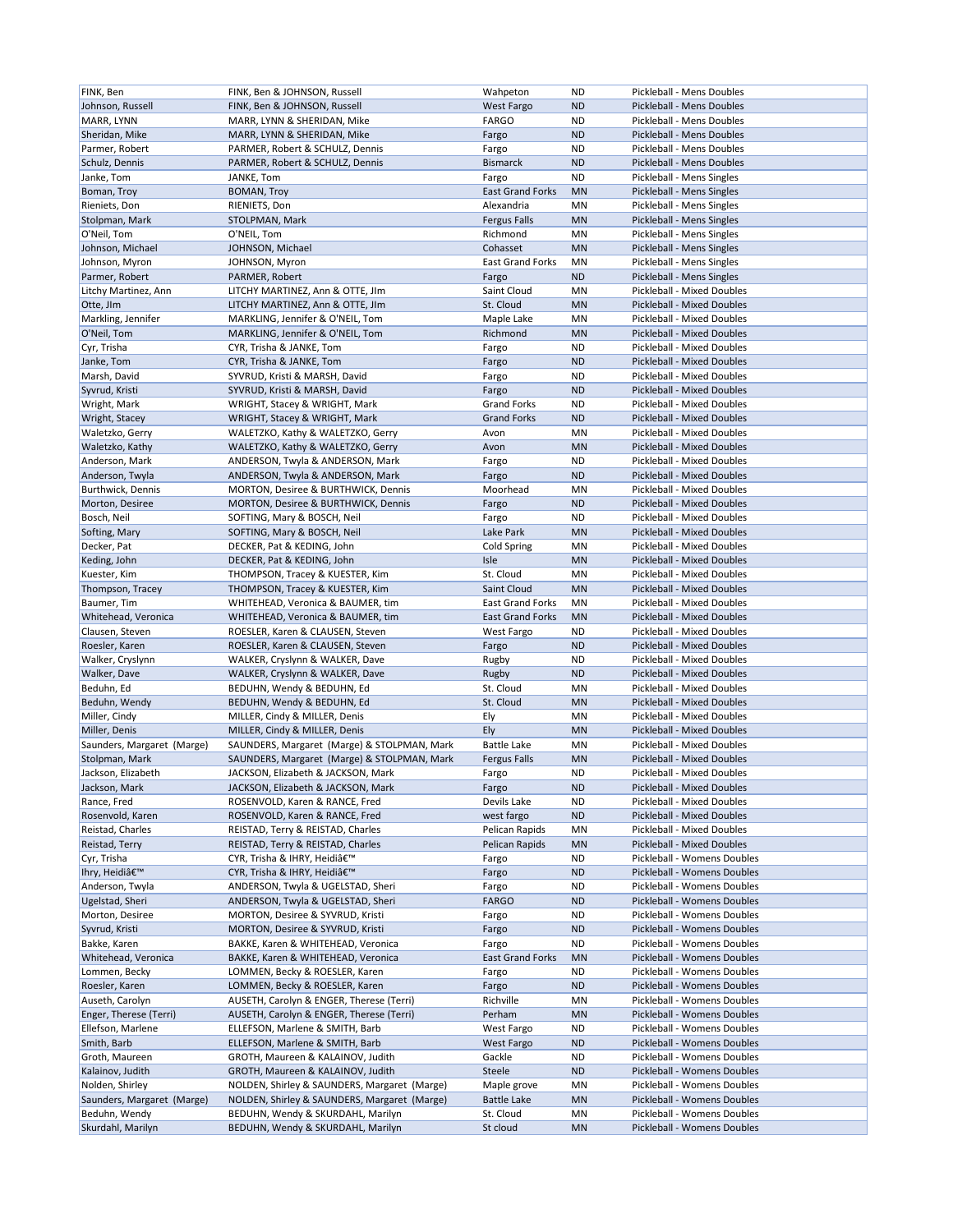| FINK, Ben                          | FINK, Ben & JOHNSON, Russell                                           | Wahpeton                | ND        | Pickleball - Mens Doubles         |
|------------------------------------|------------------------------------------------------------------------|-------------------------|-----------|-----------------------------------|
| Johnson, Russell                   | FINK, Ben & JOHNSON, Russell                                           | West Fargo              | <b>ND</b> | Pickleball - Mens Doubles         |
| MARR, LYNN                         | MARR, LYNN & SHERIDAN, Mike                                            | <b>FARGO</b>            | ND        | Pickleball - Mens Doubles         |
|                                    |                                                                        |                         |           |                                   |
| Sheridan, Mike                     | MARR, LYNN & SHERIDAN, Mike                                            | Fargo                   | <b>ND</b> | Pickleball - Mens Doubles         |
| Parmer, Robert                     | PARMER, Robert & SCHULZ, Dennis                                        | Fargo                   | <b>ND</b> | Pickleball - Mens Doubles         |
| Schulz, Dennis                     | PARMER, Robert & SCHULZ, Dennis                                        | <b>Bismarck</b>         | <b>ND</b> | Pickleball - Mens Doubles         |
|                                    | JANKE, Tom                                                             |                         |           |                                   |
| Janke, Tom                         |                                                                        | Fargo                   | <b>ND</b> | Pickleball - Mens Singles         |
| Boman, Troy                        | <b>BOMAN, Troy</b>                                                     | <b>East Grand Forks</b> | <b>MN</b> | Pickleball - Mens Singles         |
| Rieniets, Don                      | RIENIETS, Don                                                          | Alexandria              | MN        | Pickleball - Mens Singles         |
| Stolpman, Mark                     | STOLPMAN, Mark                                                         | <b>Fergus Falls</b>     | <b>MN</b> | Pickleball - Mens Singles         |
|                                    |                                                                        |                         |           |                                   |
| O'Neil, Tom                        | O'NEIL, Tom                                                            | Richmond                | MN        | Pickleball - Mens Singles         |
| Johnson, Michael                   | JOHNSON, Michael                                                       | Cohasset                | <b>MN</b> | Pickleball - Mens Singles         |
| Johnson, Myron                     | JOHNSON, Myron                                                         | <b>East Grand Forks</b> | MN        | Pickleball - Mens Singles         |
| Parmer, Robert                     | PARMER, Robert                                                         | Fargo                   | <b>ND</b> | Pickleball - Mens Singles         |
|                                    |                                                                        |                         |           |                                   |
| Litchy Martinez, Ann               | LITCHY MARTINEZ, Ann & OTTE, JIm                                       | Saint Cloud             | MN        | Pickleball - Mixed Doubles        |
| Otte, JIm                          | LITCHY MARTINEZ, Ann & OTTE, JIm                                       | St. Cloud               | <b>MN</b> | <b>Pickleball - Mixed Doubles</b> |
| Markling, Jennifer                 | MARKLING, Jennifer & O'NEIL, Tom                                       | Maple Lake              | MN        | Pickleball - Mixed Doubles        |
|                                    |                                                                        | Richmond                | <b>MN</b> | Pickleball - Mixed Doubles        |
| O'Neil, Tom                        | MARKLING, Jennifer & O'NEIL, Tom                                       |                         |           |                                   |
| Cyr, Trisha                        | CYR, Trisha & JANKE, Tom                                               | Fargo                   | ND        | Pickleball - Mixed Doubles        |
| Janke, Tom                         | CYR, Trisha & JANKE, Tom                                               | Fargo                   | <b>ND</b> | Pickleball - Mixed Doubles        |
| Marsh, David                       | SYVRUD, Kristi & MARSH, David                                          | Fargo                   | <b>ND</b> | Pickleball - Mixed Doubles        |
|                                    |                                                                        |                         |           |                                   |
| Syvrud, Kristi                     | SYVRUD, Kristi & MARSH, David                                          | Fargo                   | <b>ND</b> | <b>Pickleball - Mixed Doubles</b> |
| Wright, Mark                       | WRIGHT, Stacey & WRIGHT, Mark                                          | <b>Grand Forks</b>      | <b>ND</b> | Pickleball - Mixed Doubles        |
| Wright, Stacey                     | WRIGHT, Stacey & WRIGHT, Mark                                          | <b>Grand Forks</b>      | <b>ND</b> | Pickleball - Mixed Doubles        |
| Waletzko, Gerry                    | WALETZKO, Kathy & WALETZKO, Gerry                                      | Avon                    | MN        | Pickleball - Mixed Doubles        |
|                                    |                                                                        |                         |           |                                   |
| Waletzko, Kathy                    | WALETZKO, Kathy & WALETZKO, Gerry                                      | Avon                    | <b>MN</b> | Pickleball - Mixed Doubles        |
| Anderson, Mark                     | ANDERSON, Twyla & ANDERSON, Mark                                       | Fargo                   | ND        | <b>Pickleball - Mixed Doubles</b> |
| Anderson, Twyla                    | ANDERSON, Twyla & ANDERSON, Mark                                       | Fargo                   | <b>ND</b> | Pickleball - Mixed Doubles        |
|                                    |                                                                        |                         |           |                                   |
| Burthwick, Dennis                  | MORTON, Desiree & BURTHWICK, Dennis                                    | Moorhead                | MN        | Pickleball - Mixed Doubles        |
| Morton, Desiree                    | MORTON, Desiree & BURTHWICK, Dennis                                    | Fargo                   | <b>ND</b> | Pickleball - Mixed Doubles        |
| Bosch, Neil                        | SOFTING, Mary & BOSCH, Neil                                            | Fargo                   | ND        | Pickleball - Mixed Doubles        |
| Softing, Mary                      | SOFTING, Mary & BOSCH, Neil                                            | Lake Park               | <b>MN</b> | Pickleball - Mixed Doubles        |
|                                    |                                                                        |                         |           |                                   |
| Decker, Pat                        | DECKER, Pat & KEDING, John                                             | Cold Spring             | MN        | Pickleball - Mixed Doubles        |
| Keding, John                       | DECKER, Pat & KEDING, John                                             | Isle                    | <b>MN</b> | Pickleball - Mixed Doubles        |
| Kuester, Kim                       | THOMPSON, Tracey & KUESTER, Kim                                        | St. Cloud               | ΜN        | Pickleball - Mixed Doubles        |
|                                    |                                                                        |                         |           |                                   |
| Thompson, Tracey                   | THOMPSON, Tracey & KUESTER, Kim                                        | Saint Cloud             | <b>MN</b> | Pickleball - Mixed Doubles        |
| Baumer, Tim                        | WHITEHEAD, Veronica & BAUMER, tim                                      | <b>East Grand Forks</b> | MN        | Pickleball - Mixed Doubles        |
|                                    |                                                                        |                         |           |                                   |
| Whitehead, Veronica                | WHITEHEAD, Veronica & BAUMER, tim                                      | <b>East Grand Forks</b> | <b>MN</b> | Pickleball - Mixed Doubles        |
|                                    |                                                                        |                         |           |                                   |
| Clausen, Steven                    | ROESLER, Karen & CLAUSEN, Steven                                       | West Fargo              | <b>ND</b> | Pickleball - Mixed Doubles        |
| Roesler, Karen                     | ROESLER, Karen & CLAUSEN, Steven                                       | Fargo                   | <b>ND</b> | Pickleball - Mixed Doubles        |
| Walker, Cryslynn                   | WALKER, Cryslynn & WALKER, Dave                                        | Rugby                   | <b>ND</b> | Pickleball - Mixed Doubles        |
|                                    |                                                                        |                         | <b>ND</b> | Pickleball - Mixed Doubles        |
| Walker, Dave                       | WALKER, Cryslynn & WALKER, Dave                                        | Rugby                   |           |                                   |
| Beduhn, Ed                         | BEDUHN, Wendy & BEDUHN, Ed                                             | St. Cloud               | MN        | Pickleball - Mixed Doubles        |
| Beduhn, Wendy                      | BEDUHN, Wendy & BEDUHN, Ed                                             | St. Cloud               | <b>MN</b> | Pickleball - Mixed Doubles        |
| Miller, Cindy                      | MILLER, Cindy & MILLER, Denis                                          | Ely                     | MN        | Pickleball - Mixed Doubles        |
|                                    |                                                                        |                         |           |                                   |
| Miller, Denis                      | MILLER, Cindy & MILLER, Denis                                          | Ely                     | <b>MN</b> | Pickleball - Mixed Doubles        |
| Saunders, Margaret (Marge)         | SAUNDERS, Margaret (Marge) & STOLPMAN, Mark                            | <b>Battle Lake</b>      | MN        | Pickleball - Mixed Doubles        |
| Stolpman, Mark                     | SAUNDERS, Margaret (Marge) & STOLPMAN, Mark                            | <b>Fergus Falls</b>     | <b>MN</b> | <b>Pickleball - Mixed Doubles</b> |
| Jackson, Elizabeth                 | JACKSON, Elizabeth & JACKSON, Mark                                     | Fargo                   | <b>ND</b> | Pickleball - Mixed Doubles        |
|                                    |                                                                        |                         |           |                                   |
| Jackson, Mark                      | JACKSON, Elizabeth & JACKSON, Mark                                     | Fargo                   | <b>ND</b> | Pickleball - Mixed Doubles        |
| Rance, Fred                        | ROSENVOLD, Karen & RANCE, Fred                                         | Devils Lake             | ND        | Pickleball - Mixed Doubles        |
| Rosenvold, Karen                   | ROSENVOLD, Karen & RANCE, Fred                                         | west fargo              | <b>ND</b> | Pickleball - Mixed Doubles        |
| Reistad, Charles                   | REISTAD, Terry & REISTAD, Charles                                      | Pelican Rapids          | ΜN        | Pickleball - Mixed Doubles        |
|                                    |                                                                        | Pelican Rapids          | <b>MN</b> |                                   |
| Reistad, Terry                     | REISTAD, Terry & REISTAD, Charles                                      |                         |           | Pickleball - Mixed Doubles        |
| Cyr, Trisha                        | CYR, Trisha & IHRY, Heidi'                                             | Fargo                   | ND        | Pickleball - Womens Doubles       |
| Ihry, Heidi'                       | CYR, Trisha & IHRY, Heidi'                                             | Fargo                   | <b>ND</b> | Pickleball - Womens Doubles       |
| Anderson, Twyla                    | ANDERSON, Twyla & UGELSTAD, Sheri                                      | Fargo                   | ND        | Pickleball - Womens Doubles       |
|                                    |                                                                        |                         |           |                                   |
| Ugelstad, Sheri                    | ANDERSON, Twyla & UGELSTAD, Sheri                                      | <b>FARGO</b>            | <b>ND</b> | Pickleball - Womens Doubles       |
| Morton, Desiree                    | MORTON, Desiree & SYVRUD, Kristi                                       | Fargo                   | <b>ND</b> | Pickleball - Womens Doubles       |
| Syvrud, Kristi                     | MORTON, Desiree & SYVRUD, Kristi                                       | Fargo                   | <b>ND</b> | Pickleball - Womens Doubles       |
| Bakke, Karen                       | BAKKE, Karen & WHITEHEAD, Veronica                                     | Fargo                   | <b>ND</b> | Pickleball - Womens Doubles       |
|                                    |                                                                        |                         |           |                                   |
| Whitehead, Veronica                | BAKKE, Karen & WHITEHEAD, Veronica                                     | <b>East Grand Forks</b> | <b>MN</b> | Pickleball - Womens Doubles       |
| Lommen, Becky                      | LOMMEN, Becky & ROESLER, Karen                                         | Fargo                   | <b>ND</b> | Pickleball - Womens Doubles       |
| Roesler, Karen                     | LOMMEN, Becky & ROESLER, Karen                                         | Fargo                   | <b>ND</b> | Pickleball - Womens Doubles       |
| Auseth, Carolyn                    | AUSETH, Carolyn & ENGER, Therese (Terri)                               | Richville               | MN        | Pickleball - Womens Doubles       |
|                                    |                                                                        |                         |           |                                   |
| Enger, Therese (Terri)             | AUSETH, Carolyn & ENGER, Therese (Terri)                               | Perham                  | <b>MN</b> | Pickleball - Womens Doubles       |
| Ellefson, Marlene                  | ELLEFSON, Marlene & SMITH, Barb                                        | West Fargo              | ND        | Pickleball - Womens Doubles       |
| Smith, Barb                        | ELLEFSON, Marlene & SMITH, Barb                                        | West Fargo              | <b>ND</b> | Pickleball - Womens Doubles       |
|                                    |                                                                        |                         |           |                                   |
| Groth, Maureen                     | GROTH, Maureen & KALAINOV, Judith                                      | Gackle                  | <b>ND</b> | Pickleball - Womens Doubles       |
| Kalainov, Judith                   | GROTH, Maureen & KALAINOV, Judith                                      | Steele                  | <b>ND</b> | Pickleball - Womens Doubles       |
| Nolden, Shirley                    | NOLDEN, Shirley & SAUNDERS, Margaret (Marge)                           | Maple grove             | MN        | Pickleball - Womens Doubles       |
| Saunders, Margaret (Marge)         | NOLDEN, Shirley & SAUNDERS, Margaret (Marge)                           | <b>Battle Lake</b>      | <b>MN</b> | Pickleball - Womens Doubles       |
|                                    |                                                                        |                         | MN        | Pickleball - Womens Doubles       |
| Beduhn, Wendy<br>Skurdahl, Marilyn | BEDUHN, Wendy & SKURDAHL, Marilyn<br>BEDUHN, Wendy & SKURDAHL, Marilyn | St. Cloud<br>St cloud   | MN        | Pickleball - Womens Doubles       |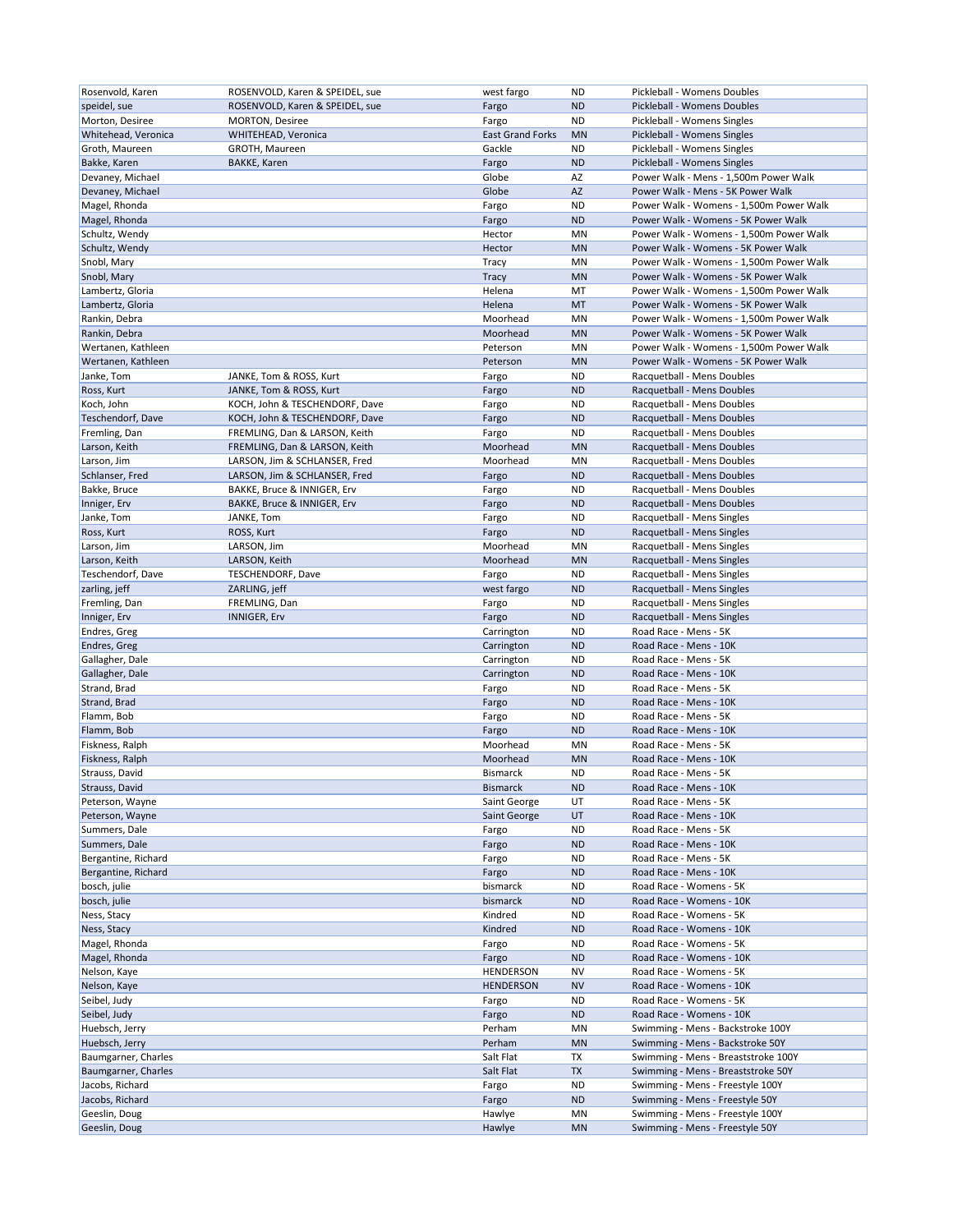| speidel, sue<br>ROSENVOLD, Karen & SPEIDEL, sue<br>Fargo<br><b>ND</b><br>Pickleball - Womens Doubles<br>Fargo<br>Pickleball - Womens Singles<br>Morton, Desiree<br><b>MORTON, Desiree</b><br>ND<br><b>East Grand Forks</b><br><b>MN</b><br>Pickleball - Womens Singles<br>WHITEHEAD, Veronica<br>Gackle<br>Pickleball - Womens Singles<br>GROTH, Maureen<br>ND<br>Fargo<br><b>ND</b><br>Pickleball - Womens Singles<br><b>BAKKE, Karen</b><br>Globe<br>AZ<br>Power Walk - Mens - 1,500m Power Walk<br>Globe<br>AZ<br>Power Walk - Mens - 5K Power Walk<br>Magel, Rhonda<br>Fargo<br><b>ND</b><br>Power Walk - Womens - 1,500m Power Walk<br>Magel, Rhonda<br><b>ND</b><br>Power Walk - Womens - 5K Power Walk<br>Fargo<br>Schultz, Wendy<br>Hector<br>MN<br>Power Walk - Womens - 1,500m Power Walk<br>Schultz, Wendy<br>Hector<br><b>MN</b><br>Power Walk - Womens - 5K Power Walk<br>Snobl, Mary<br>MN<br>Power Walk - Womens - 1,500m Power Walk<br>Tracy<br>Snobl, Mary<br>Tracy<br><b>MN</b><br>Power Walk - Womens - 5K Power Walk<br>Helena<br>MT<br>Power Walk - Womens - 1,500m Power Walk<br>Lambertz, Gloria<br>Helena<br>MT<br>Power Walk - Womens - 5K Power Walk<br>Lambertz, Gloria<br>Moorhead<br>MN<br>Power Walk - Womens - 1,500m Power Walk<br>Rankin, Debra<br>Rankin, Debra<br>Moorhead<br><b>MN</b><br>Power Walk - Womens - 5K Power Walk<br>MN<br>Wertanen, Kathleen<br>Peterson<br>Power Walk - Womens - 1,500m Power Walk<br>Wertanen, Kathleen<br><b>MN</b><br>Power Walk - Womens - 5K Power Walk<br>Peterson<br>JANKE, Tom & ROSS, Kurt<br><b>ND</b><br>Racquetball - Mens Doubles<br>Fargo<br><b>ND</b><br>JANKE, Tom & ROSS, Kurt<br>Fargo<br>Racquetball - Mens Doubles<br><b>ND</b><br>KOCH, John & TESCHENDORF, Dave<br>Fargo<br>Racquetball - Mens Doubles<br>KOCH, John & TESCHENDORF, Dave<br>Fargo<br><b>ND</b><br>Racquetball - Mens Doubles<br>ND<br>FREMLING, Dan & LARSON, Keith<br>Fargo<br>Racquetball - Mens Doubles<br>Moorhead<br><b>MN</b><br>Racquetball - Mens Doubles<br>FREMLING, Dan & LARSON, Keith<br>Moorhead<br>Racquetball - Mens Doubles<br>LARSON, Jim & SCHLANSER, Fred<br>ΜN<br>Fargo<br><b>ND</b><br>Racquetball - Mens Doubles<br>LARSON, Jim & SCHLANSER, Fred<br>BAKKE, Bruce & INNIGER, Erv<br>Fargo<br>ND<br>Racquetball - Mens Doubles<br>Inniger, Erv<br>BAKKE, Bruce & INNIGER, Erv<br>Fargo<br><b>ND</b><br>Racquetball - Mens Doubles<br>Janke, Tom<br>ND<br>JANKE, Tom<br>Fargo<br>Racquetball - Mens Singles<br>Fargo<br><b>ND</b><br>Racquetball - Mens Singles<br>ROSS, Kurt<br>Larson, Jim<br>Moorhead<br>MN<br>Racquetball - Mens Singles<br>LARSON, Jim<br>Larson, Keith<br>Moorhead<br><b>MN</b><br>Racquetball - Mens Singles<br>LARSON, Keith<br>Teschendorf, Dave<br><b>ND</b><br>Racquetball - Mens Singles<br><b>TESCHENDORF, Dave</b><br>Fargo<br>zarling, jeff<br>ZARLING, jeff<br>west fargo<br><b>ND</b><br>Racquetball - Mens Singles<br>Fremling, Dan<br>FREMLING, Dan<br><b>ND</b><br>Racquetball - Mens Singles<br>Fargo<br>Inniger, Erv<br><b>ND</b><br>Racquetball - Mens Singles<br><b>INNIGER, Erv</b><br>Fargo<br>Endres, Greg<br><b>ND</b><br>Road Race - Mens - 5K<br>Carrington<br>Endres, Greg<br><b>ND</b><br>Road Race - Mens - 10K<br>Carrington<br>Road Race - Mens - 5K<br>Gallagher, Dale<br>Carrington<br><b>ND</b><br>Gallagher, Dale<br><b>ND</b><br>Road Race - Mens - 10K<br>Carrington<br>Strand, Brad<br>Road Race - Mens - 5K<br>Fargo<br>ND<br>Strand, Brad<br><b>ND</b><br>Road Race - Mens - 10K<br>Fargo<br>Flamm, Bob<br><b>ND</b><br>Fargo<br>Road Race - Mens - 5K<br>Flamm, Bob<br><b>ND</b><br>Road Race - Mens - 10K<br>Fargo<br>Fiskness, Ralph<br>Moorhead<br>MN<br>Road Race - Mens - 5K<br>Moorhead<br><b>MN</b><br>Road Race - Mens - 10K<br>Fiskness, Ralph<br><b>ND</b><br>Strauss. David<br>Road Race - Mens - 5K<br><b>Bismarck</b><br><b>Bismarck</b><br>Strauss, David<br><b>ND</b><br>Road Race - Mens - 10K<br>Peterson, Wayne<br>Saint George<br>Road Race - Mens - 5K<br>UT<br>Peterson, Wayne<br>Saint George<br>UT<br>Road Race - Mens - 10K<br>Summers, Dale<br>Road Race - Mens - 5K<br>Fargo<br>ND<br>Summers, Dale<br><b>ND</b><br>Road Race - Mens - 10K<br>Fargo<br>Fargo<br><b>ND</b><br>Road Race - Mens - 5K<br>Bergantine, Richard<br><b>ND</b><br>Road Race - Mens - 10K<br>Bergantine, Richard<br>Fargo<br>bosch, julie<br>bismarck<br><b>ND</b><br>Road Race - Womens - 5K<br>bismarck<br><b>ND</b><br>Road Race - Womens - 10K<br>Ness, Stacy<br>Kindred<br><b>ND</b><br>Road Race - Womens - 5K<br>Kindred<br><b>ND</b><br>Road Race - Womens - 10K<br>Fargo<br><b>ND</b><br>Road Race - Womens - 5K<br><b>ND</b><br>Road Race - Womens - 10K<br>Fargo<br>HENDERSON<br><b>NV</b><br>Road Race - Womens - 5K<br>Road Race - Womens - 10K<br><b>HENDERSON</b><br><b>NV</b><br><b>ND</b><br>Road Race - Womens - 5K<br>Fargo<br><b>ND</b><br>Road Race - Womens - 10K<br>Fargo<br>Perham<br>ΜN<br>Swimming - Mens - Backstroke 100Y<br>Perham<br>MN<br>Swimming - Mens - Backstroke 50Y<br>Salt Flat<br>ТX<br>Swimming - Mens - Breaststroke 100Y<br>Salt Flat<br><b>TX</b><br>Swimming - Mens - Breaststroke 50Y<br>ND<br>Swimming - Mens - Freestyle 100Y<br>Fargo<br><b>ND</b><br>Swimming - Mens - Freestyle 50Y<br>Fargo<br>Hawlye<br>MN<br>Swimming - Mens - Freestyle 100Y<br>Hawlye<br><b>MN</b><br>Swimming - Mens - Freestyle 50Y |                     |                                 |            |    |                             |
|----------------------------------------------------------------------------------------------------------------------------------------------------------------------------------------------------------------------------------------------------------------------------------------------------------------------------------------------------------------------------------------------------------------------------------------------------------------------------------------------------------------------------------------------------------------------------------------------------------------------------------------------------------------------------------------------------------------------------------------------------------------------------------------------------------------------------------------------------------------------------------------------------------------------------------------------------------------------------------------------------------------------------------------------------------------------------------------------------------------------------------------------------------------------------------------------------------------------------------------------------------------------------------------------------------------------------------------------------------------------------------------------------------------------------------------------------------------------------------------------------------------------------------------------------------------------------------------------------------------------------------------------------------------------------------------------------------------------------------------------------------------------------------------------------------------------------------------------------------------------------------------------------------------------------------------------------------------------------------------------------------------------------------------------------------------------------------------------------------------------------------------------------------------------------------------------------------------------------------------------------------------------------------------------------------------------------------------------------------------------------------------------------------------------------------------------------------------------------------------------------------------------------------------------------------------------------------------------------------------------------------------------------------------------------------------------------------------------------------------------------------------------------------------------------------------------------------------------------------------------------------------------------------------------------------------------------------------------------------------------------------------------------------------------------------------------------------------------------------------------------------------------------------------------------------------------------------------------------------------------------------------------------------------------------------------------------------------------------------------------------------------------------------------------------------------------------------------------------------------------------------------------------------------------------------------------------------------------------------------------------------------------------------------------------------------------------------------------------------------------------------------------------------------------------------------------------------------------------------------------------------------------------------------------------------------------------------------------------------------------------------------------------------------------------------------------------------------------------------------------------------------------------------------------------------------------------------------------------------------------------------------------------------------------------------------------------------------------------------------------------------------------------------------------------------------------------------------------------------------------------------------------------------------------------------------------------------------------------------------------------------------------------------------------------------------------------------------------------------------------------------------------------------------------------------------------------------------------------------------------------------------------------------------------------------------------------------------------------------------------------------------------------------------------------------------------------------------------------------------------------------------------------------------------------------------------------------------------------------------------------------------------------------------------------------------------------------------------------------------------------------------------------------|---------------------|---------------------------------|------------|----|-----------------------------|
|                                                                                                                                                                                                                                                                                                                                                                                                                                                                                                                                                                                                                                                                                                                                                                                                                                                                                                                                                                                                                                                                                                                                                                                                                                                                                                                                                                                                                                                                                                                                                                                                                                                                                                                                                                                                                                                                                                                                                                                                                                                                                                                                                                                                                                                                                                                                                                                                                                                                                                                                                                                                                                                                                                                                                                                                                                                                                                                                                                                                                                                                                                                                                                                                                                                                                                                                                                                                                                                                                                                                                                                                                                                                                                                                                                                                                                                                                                                                                                                                                                                                                                                                                                                                                                                                                                                                                                                                                                                                                                                                                                                                                                                                                                                                                                                                                                                                                                                                                                                                                                                                                                                                                                                                                                                                                                                                                                                                          | Rosenvold, Karen    | ROSENVOLD, Karen & SPEIDEL, sue | west fargo | ND | Pickleball - Womens Doubles |
|                                                                                                                                                                                                                                                                                                                                                                                                                                                                                                                                                                                                                                                                                                                                                                                                                                                                                                                                                                                                                                                                                                                                                                                                                                                                                                                                                                                                                                                                                                                                                                                                                                                                                                                                                                                                                                                                                                                                                                                                                                                                                                                                                                                                                                                                                                                                                                                                                                                                                                                                                                                                                                                                                                                                                                                                                                                                                                                                                                                                                                                                                                                                                                                                                                                                                                                                                                                                                                                                                                                                                                                                                                                                                                                                                                                                                                                                                                                                                                                                                                                                                                                                                                                                                                                                                                                                                                                                                                                                                                                                                                                                                                                                                                                                                                                                                                                                                                                                                                                                                                                                                                                                                                                                                                                                                                                                                                                                          |                     |                                 |            |    |                             |
|                                                                                                                                                                                                                                                                                                                                                                                                                                                                                                                                                                                                                                                                                                                                                                                                                                                                                                                                                                                                                                                                                                                                                                                                                                                                                                                                                                                                                                                                                                                                                                                                                                                                                                                                                                                                                                                                                                                                                                                                                                                                                                                                                                                                                                                                                                                                                                                                                                                                                                                                                                                                                                                                                                                                                                                                                                                                                                                                                                                                                                                                                                                                                                                                                                                                                                                                                                                                                                                                                                                                                                                                                                                                                                                                                                                                                                                                                                                                                                                                                                                                                                                                                                                                                                                                                                                                                                                                                                                                                                                                                                                                                                                                                                                                                                                                                                                                                                                                                                                                                                                                                                                                                                                                                                                                                                                                                                                                          |                     |                                 |            |    |                             |
|                                                                                                                                                                                                                                                                                                                                                                                                                                                                                                                                                                                                                                                                                                                                                                                                                                                                                                                                                                                                                                                                                                                                                                                                                                                                                                                                                                                                                                                                                                                                                                                                                                                                                                                                                                                                                                                                                                                                                                                                                                                                                                                                                                                                                                                                                                                                                                                                                                                                                                                                                                                                                                                                                                                                                                                                                                                                                                                                                                                                                                                                                                                                                                                                                                                                                                                                                                                                                                                                                                                                                                                                                                                                                                                                                                                                                                                                                                                                                                                                                                                                                                                                                                                                                                                                                                                                                                                                                                                                                                                                                                                                                                                                                                                                                                                                                                                                                                                                                                                                                                                                                                                                                                                                                                                                                                                                                                                                          | Whitehead, Veronica |                                 |            |    |                             |
|                                                                                                                                                                                                                                                                                                                                                                                                                                                                                                                                                                                                                                                                                                                                                                                                                                                                                                                                                                                                                                                                                                                                                                                                                                                                                                                                                                                                                                                                                                                                                                                                                                                                                                                                                                                                                                                                                                                                                                                                                                                                                                                                                                                                                                                                                                                                                                                                                                                                                                                                                                                                                                                                                                                                                                                                                                                                                                                                                                                                                                                                                                                                                                                                                                                                                                                                                                                                                                                                                                                                                                                                                                                                                                                                                                                                                                                                                                                                                                                                                                                                                                                                                                                                                                                                                                                                                                                                                                                                                                                                                                                                                                                                                                                                                                                                                                                                                                                                                                                                                                                                                                                                                                                                                                                                                                                                                                                                          | Groth, Maureen      |                                 |            |    |                             |
|                                                                                                                                                                                                                                                                                                                                                                                                                                                                                                                                                                                                                                                                                                                                                                                                                                                                                                                                                                                                                                                                                                                                                                                                                                                                                                                                                                                                                                                                                                                                                                                                                                                                                                                                                                                                                                                                                                                                                                                                                                                                                                                                                                                                                                                                                                                                                                                                                                                                                                                                                                                                                                                                                                                                                                                                                                                                                                                                                                                                                                                                                                                                                                                                                                                                                                                                                                                                                                                                                                                                                                                                                                                                                                                                                                                                                                                                                                                                                                                                                                                                                                                                                                                                                                                                                                                                                                                                                                                                                                                                                                                                                                                                                                                                                                                                                                                                                                                                                                                                                                                                                                                                                                                                                                                                                                                                                                                                          | Bakke, Karen        |                                 |            |    |                             |
|                                                                                                                                                                                                                                                                                                                                                                                                                                                                                                                                                                                                                                                                                                                                                                                                                                                                                                                                                                                                                                                                                                                                                                                                                                                                                                                                                                                                                                                                                                                                                                                                                                                                                                                                                                                                                                                                                                                                                                                                                                                                                                                                                                                                                                                                                                                                                                                                                                                                                                                                                                                                                                                                                                                                                                                                                                                                                                                                                                                                                                                                                                                                                                                                                                                                                                                                                                                                                                                                                                                                                                                                                                                                                                                                                                                                                                                                                                                                                                                                                                                                                                                                                                                                                                                                                                                                                                                                                                                                                                                                                                                                                                                                                                                                                                                                                                                                                                                                                                                                                                                                                                                                                                                                                                                                                                                                                                                                          | Devaney, Michael    |                                 |            |    |                             |
|                                                                                                                                                                                                                                                                                                                                                                                                                                                                                                                                                                                                                                                                                                                                                                                                                                                                                                                                                                                                                                                                                                                                                                                                                                                                                                                                                                                                                                                                                                                                                                                                                                                                                                                                                                                                                                                                                                                                                                                                                                                                                                                                                                                                                                                                                                                                                                                                                                                                                                                                                                                                                                                                                                                                                                                                                                                                                                                                                                                                                                                                                                                                                                                                                                                                                                                                                                                                                                                                                                                                                                                                                                                                                                                                                                                                                                                                                                                                                                                                                                                                                                                                                                                                                                                                                                                                                                                                                                                                                                                                                                                                                                                                                                                                                                                                                                                                                                                                                                                                                                                                                                                                                                                                                                                                                                                                                                                                          | Devaney, Michael    |                                 |            |    |                             |
|                                                                                                                                                                                                                                                                                                                                                                                                                                                                                                                                                                                                                                                                                                                                                                                                                                                                                                                                                                                                                                                                                                                                                                                                                                                                                                                                                                                                                                                                                                                                                                                                                                                                                                                                                                                                                                                                                                                                                                                                                                                                                                                                                                                                                                                                                                                                                                                                                                                                                                                                                                                                                                                                                                                                                                                                                                                                                                                                                                                                                                                                                                                                                                                                                                                                                                                                                                                                                                                                                                                                                                                                                                                                                                                                                                                                                                                                                                                                                                                                                                                                                                                                                                                                                                                                                                                                                                                                                                                                                                                                                                                                                                                                                                                                                                                                                                                                                                                                                                                                                                                                                                                                                                                                                                                                                                                                                                                                          |                     |                                 |            |    |                             |
|                                                                                                                                                                                                                                                                                                                                                                                                                                                                                                                                                                                                                                                                                                                                                                                                                                                                                                                                                                                                                                                                                                                                                                                                                                                                                                                                                                                                                                                                                                                                                                                                                                                                                                                                                                                                                                                                                                                                                                                                                                                                                                                                                                                                                                                                                                                                                                                                                                                                                                                                                                                                                                                                                                                                                                                                                                                                                                                                                                                                                                                                                                                                                                                                                                                                                                                                                                                                                                                                                                                                                                                                                                                                                                                                                                                                                                                                                                                                                                                                                                                                                                                                                                                                                                                                                                                                                                                                                                                                                                                                                                                                                                                                                                                                                                                                                                                                                                                                                                                                                                                                                                                                                                                                                                                                                                                                                                                                          |                     |                                 |            |    |                             |
|                                                                                                                                                                                                                                                                                                                                                                                                                                                                                                                                                                                                                                                                                                                                                                                                                                                                                                                                                                                                                                                                                                                                                                                                                                                                                                                                                                                                                                                                                                                                                                                                                                                                                                                                                                                                                                                                                                                                                                                                                                                                                                                                                                                                                                                                                                                                                                                                                                                                                                                                                                                                                                                                                                                                                                                                                                                                                                                                                                                                                                                                                                                                                                                                                                                                                                                                                                                                                                                                                                                                                                                                                                                                                                                                                                                                                                                                                                                                                                                                                                                                                                                                                                                                                                                                                                                                                                                                                                                                                                                                                                                                                                                                                                                                                                                                                                                                                                                                                                                                                                                                                                                                                                                                                                                                                                                                                                                                          |                     |                                 |            |    |                             |
|                                                                                                                                                                                                                                                                                                                                                                                                                                                                                                                                                                                                                                                                                                                                                                                                                                                                                                                                                                                                                                                                                                                                                                                                                                                                                                                                                                                                                                                                                                                                                                                                                                                                                                                                                                                                                                                                                                                                                                                                                                                                                                                                                                                                                                                                                                                                                                                                                                                                                                                                                                                                                                                                                                                                                                                                                                                                                                                                                                                                                                                                                                                                                                                                                                                                                                                                                                                                                                                                                                                                                                                                                                                                                                                                                                                                                                                                                                                                                                                                                                                                                                                                                                                                                                                                                                                                                                                                                                                                                                                                                                                                                                                                                                                                                                                                                                                                                                                                                                                                                                                                                                                                                                                                                                                                                                                                                                                                          |                     |                                 |            |    |                             |
|                                                                                                                                                                                                                                                                                                                                                                                                                                                                                                                                                                                                                                                                                                                                                                                                                                                                                                                                                                                                                                                                                                                                                                                                                                                                                                                                                                                                                                                                                                                                                                                                                                                                                                                                                                                                                                                                                                                                                                                                                                                                                                                                                                                                                                                                                                                                                                                                                                                                                                                                                                                                                                                                                                                                                                                                                                                                                                                                                                                                                                                                                                                                                                                                                                                                                                                                                                                                                                                                                                                                                                                                                                                                                                                                                                                                                                                                                                                                                                                                                                                                                                                                                                                                                                                                                                                                                                                                                                                                                                                                                                                                                                                                                                                                                                                                                                                                                                                                                                                                                                                                                                                                                                                                                                                                                                                                                                                                          |                     |                                 |            |    |                             |
|                                                                                                                                                                                                                                                                                                                                                                                                                                                                                                                                                                                                                                                                                                                                                                                                                                                                                                                                                                                                                                                                                                                                                                                                                                                                                                                                                                                                                                                                                                                                                                                                                                                                                                                                                                                                                                                                                                                                                                                                                                                                                                                                                                                                                                                                                                                                                                                                                                                                                                                                                                                                                                                                                                                                                                                                                                                                                                                                                                                                                                                                                                                                                                                                                                                                                                                                                                                                                                                                                                                                                                                                                                                                                                                                                                                                                                                                                                                                                                                                                                                                                                                                                                                                                                                                                                                                                                                                                                                                                                                                                                                                                                                                                                                                                                                                                                                                                                                                                                                                                                                                                                                                                                                                                                                                                                                                                                                                          |                     |                                 |            |    |                             |
|                                                                                                                                                                                                                                                                                                                                                                                                                                                                                                                                                                                                                                                                                                                                                                                                                                                                                                                                                                                                                                                                                                                                                                                                                                                                                                                                                                                                                                                                                                                                                                                                                                                                                                                                                                                                                                                                                                                                                                                                                                                                                                                                                                                                                                                                                                                                                                                                                                                                                                                                                                                                                                                                                                                                                                                                                                                                                                                                                                                                                                                                                                                                                                                                                                                                                                                                                                                                                                                                                                                                                                                                                                                                                                                                                                                                                                                                                                                                                                                                                                                                                                                                                                                                                                                                                                                                                                                                                                                                                                                                                                                                                                                                                                                                                                                                                                                                                                                                                                                                                                                                                                                                                                                                                                                                                                                                                                                                          |                     |                                 |            |    |                             |
|                                                                                                                                                                                                                                                                                                                                                                                                                                                                                                                                                                                                                                                                                                                                                                                                                                                                                                                                                                                                                                                                                                                                                                                                                                                                                                                                                                                                                                                                                                                                                                                                                                                                                                                                                                                                                                                                                                                                                                                                                                                                                                                                                                                                                                                                                                                                                                                                                                                                                                                                                                                                                                                                                                                                                                                                                                                                                                                                                                                                                                                                                                                                                                                                                                                                                                                                                                                                                                                                                                                                                                                                                                                                                                                                                                                                                                                                                                                                                                                                                                                                                                                                                                                                                                                                                                                                                                                                                                                                                                                                                                                                                                                                                                                                                                                                                                                                                                                                                                                                                                                                                                                                                                                                                                                                                                                                                                                                          |                     |                                 |            |    |                             |
|                                                                                                                                                                                                                                                                                                                                                                                                                                                                                                                                                                                                                                                                                                                                                                                                                                                                                                                                                                                                                                                                                                                                                                                                                                                                                                                                                                                                                                                                                                                                                                                                                                                                                                                                                                                                                                                                                                                                                                                                                                                                                                                                                                                                                                                                                                                                                                                                                                                                                                                                                                                                                                                                                                                                                                                                                                                                                                                                                                                                                                                                                                                                                                                                                                                                                                                                                                                                                                                                                                                                                                                                                                                                                                                                                                                                                                                                                                                                                                                                                                                                                                                                                                                                                                                                                                                                                                                                                                                                                                                                                                                                                                                                                                                                                                                                                                                                                                                                                                                                                                                                                                                                                                                                                                                                                                                                                                                                          |                     |                                 |            |    |                             |
|                                                                                                                                                                                                                                                                                                                                                                                                                                                                                                                                                                                                                                                                                                                                                                                                                                                                                                                                                                                                                                                                                                                                                                                                                                                                                                                                                                                                                                                                                                                                                                                                                                                                                                                                                                                                                                                                                                                                                                                                                                                                                                                                                                                                                                                                                                                                                                                                                                                                                                                                                                                                                                                                                                                                                                                                                                                                                                                                                                                                                                                                                                                                                                                                                                                                                                                                                                                                                                                                                                                                                                                                                                                                                                                                                                                                                                                                                                                                                                                                                                                                                                                                                                                                                                                                                                                                                                                                                                                                                                                                                                                                                                                                                                                                                                                                                                                                                                                                                                                                                                                                                                                                                                                                                                                                                                                                                                                                          |                     |                                 |            |    |                             |
|                                                                                                                                                                                                                                                                                                                                                                                                                                                                                                                                                                                                                                                                                                                                                                                                                                                                                                                                                                                                                                                                                                                                                                                                                                                                                                                                                                                                                                                                                                                                                                                                                                                                                                                                                                                                                                                                                                                                                                                                                                                                                                                                                                                                                                                                                                                                                                                                                                                                                                                                                                                                                                                                                                                                                                                                                                                                                                                                                                                                                                                                                                                                                                                                                                                                                                                                                                                                                                                                                                                                                                                                                                                                                                                                                                                                                                                                                                                                                                                                                                                                                                                                                                                                                                                                                                                                                                                                                                                                                                                                                                                                                                                                                                                                                                                                                                                                                                                                                                                                                                                                                                                                                                                                                                                                                                                                                                                                          |                     |                                 |            |    |                             |
|                                                                                                                                                                                                                                                                                                                                                                                                                                                                                                                                                                                                                                                                                                                                                                                                                                                                                                                                                                                                                                                                                                                                                                                                                                                                                                                                                                                                                                                                                                                                                                                                                                                                                                                                                                                                                                                                                                                                                                                                                                                                                                                                                                                                                                                                                                                                                                                                                                                                                                                                                                                                                                                                                                                                                                                                                                                                                                                                                                                                                                                                                                                                                                                                                                                                                                                                                                                                                                                                                                                                                                                                                                                                                                                                                                                                                                                                                                                                                                                                                                                                                                                                                                                                                                                                                                                                                                                                                                                                                                                                                                                                                                                                                                                                                                                                                                                                                                                                                                                                                                                                                                                                                                                                                                                                                                                                                                                                          |                     |                                 |            |    |                             |
|                                                                                                                                                                                                                                                                                                                                                                                                                                                                                                                                                                                                                                                                                                                                                                                                                                                                                                                                                                                                                                                                                                                                                                                                                                                                                                                                                                                                                                                                                                                                                                                                                                                                                                                                                                                                                                                                                                                                                                                                                                                                                                                                                                                                                                                                                                                                                                                                                                                                                                                                                                                                                                                                                                                                                                                                                                                                                                                                                                                                                                                                                                                                                                                                                                                                                                                                                                                                                                                                                                                                                                                                                                                                                                                                                                                                                                                                                                                                                                                                                                                                                                                                                                                                                                                                                                                                                                                                                                                                                                                                                                                                                                                                                                                                                                                                                                                                                                                                                                                                                                                                                                                                                                                                                                                                                                                                                                                                          |                     |                                 |            |    |                             |
|                                                                                                                                                                                                                                                                                                                                                                                                                                                                                                                                                                                                                                                                                                                                                                                                                                                                                                                                                                                                                                                                                                                                                                                                                                                                                                                                                                                                                                                                                                                                                                                                                                                                                                                                                                                                                                                                                                                                                                                                                                                                                                                                                                                                                                                                                                                                                                                                                                                                                                                                                                                                                                                                                                                                                                                                                                                                                                                                                                                                                                                                                                                                                                                                                                                                                                                                                                                                                                                                                                                                                                                                                                                                                                                                                                                                                                                                                                                                                                                                                                                                                                                                                                                                                                                                                                                                                                                                                                                                                                                                                                                                                                                                                                                                                                                                                                                                                                                                                                                                                                                                                                                                                                                                                                                                                                                                                                                                          | Janke, Tom          |                                 |            |    |                             |
|                                                                                                                                                                                                                                                                                                                                                                                                                                                                                                                                                                                                                                                                                                                                                                                                                                                                                                                                                                                                                                                                                                                                                                                                                                                                                                                                                                                                                                                                                                                                                                                                                                                                                                                                                                                                                                                                                                                                                                                                                                                                                                                                                                                                                                                                                                                                                                                                                                                                                                                                                                                                                                                                                                                                                                                                                                                                                                                                                                                                                                                                                                                                                                                                                                                                                                                                                                                                                                                                                                                                                                                                                                                                                                                                                                                                                                                                                                                                                                                                                                                                                                                                                                                                                                                                                                                                                                                                                                                                                                                                                                                                                                                                                                                                                                                                                                                                                                                                                                                                                                                                                                                                                                                                                                                                                                                                                                                                          | Ross, Kurt          |                                 |            |    |                             |
|                                                                                                                                                                                                                                                                                                                                                                                                                                                                                                                                                                                                                                                                                                                                                                                                                                                                                                                                                                                                                                                                                                                                                                                                                                                                                                                                                                                                                                                                                                                                                                                                                                                                                                                                                                                                                                                                                                                                                                                                                                                                                                                                                                                                                                                                                                                                                                                                                                                                                                                                                                                                                                                                                                                                                                                                                                                                                                                                                                                                                                                                                                                                                                                                                                                                                                                                                                                                                                                                                                                                                                                                                                                                                                                                                                                                                                                                                                                                                                                                                                                                                                                                                                                                                                                                                                                                                                                                                                                                                                                                                                                                                                                                                                                                                                                                                                                                                                                                                                                                                                                                                                                                                                                                                                                                                                                                                                                                          | Koch, John          |                                 |            |    |                             |
|                                                                                                                                                                                                                                                                                                                                                                                                                                                                                                                                                                                                                                                                                                                                                                                                                                                                                                                                                                                                                                                                                                                                                                                                                                                                                                                                                                                                                                                                                                                                                                                                                                                                                                                                                                                                                                                                                                                                                                                                                                                                                                                                                                                                                                                                                                                                                                                                                                                                                                                                                                                                                                                                                                                                                                                                                                                                                                                                                                                                                                                                                                                                                                                                                                                                                                                                                                                                                                                                                                                                                                                                                                                                                                                                                                                                                                                                                                                                                                                                                                                                                                                                                                                                                                                                                                                                                                                                                                                                                                                                                                                                                                                                                                                                                                                                                                                                                                                                                                                                                                                                                                                                                                                                                                                                                                                                                                                                          | Teschendorf, Dave   |                                 |            |    |                             |
|                                                                                                                                                                                                                                                                                                                                                                                                                                                                                                                                                                                                                                                                                                                                                                                                                                                                                                                                                                                                                                                                                                                                                                                                                                                                                                                                                                                                                                                                                                                                                                                                                                                                                                                                                                                                                                                                                                                                                                                                                                                                                                                                                                                                                                                                                                                                                                                                                                                                                                                                                                                                                                                                                                                                                                                                                                                                                                                                                                                                                                                                                                                                                                                                                                                                                                                                                                                                                                                                                                                                                                                                                                                                                                                                                                                                                                                                                                                                                                                                                                                                                                                                                                                                                                                                                                                                                                                                                                                                                                                                                                                                                                                                                                                                                                                                                                                                                                                                                                                                                                                                                                                                                                                                                                                                                                                                                                                                          | Fremling, Dan       |                                 |            |    |                             |
|                                                                                                                                                                                                                                                                                                                                                                                                                                                                                                                                                                                                                                                                                                                                                                                                                                                                                                                                                                                                                                                                                                                                                                                                                                                                                                                                                                                                                                                                                                                                                                                                                                                                                                                                                                                                                                                                                                                                                                                                                                                                                                                                                                                                                                                                                                                                                                                                                                                                                                                                                                                                                                                                                                                                                                                                                                                                                                                                                                                                                                                                                                                                                                                                                                                                                                                                                                                                                                                                                                                                                                                                                                                                                                                                                                                                                                                                                                                                                                                                                                                                                                                                                                                                                                                                                                                                                                                                                                                                                                                                                                                                                                                                                                                                                                                                                                                                                                                                                                                                                                                                                                                                                                                                                                                                                                                                                                                                          | Larson, Keith       |                                 |            |    |                             |
|                                                                                                                                                                                                                                                                                                                                                                                                                                                                                                                                                                                                                                                                                                                                                                                                                                                                                                                                                                                                                                                                                                                                                                                                                                                                                                                                                                                                                                                                                                                                                                                                                                                                                                                                                                                                                                                                                                                                                                                                                                                                                                                                                                                                                                                                                                                                                                                                                                                                                                                                                                                                                                                                                                                                                                                                                                                                                                                                                                                                                                                                                                                                                                                                                                                                                                                                                                                                                                                                                                                                                                                                                                                                                                                                                                                                                                                                                                                                                                                                                                                                                                                                                                                                                                                                                                                                                                                                                                                                                                                                                                                                                                                                                                                                                                                                                                                                                                                                                                                                                                                                                                                                                                                                                                                                                                                                                                                                          | Larson, Jim         |                                 |            |    |                             |
|                                                                                                                                                                                                                                                                                                                                                                                                                                                                                                                                                                                                                                                                                                                                                                                                                                                                                                                                                                                                                                                                                                                                                                                                                                                                                                                                                                                                                                                                                                                                                                                                                                                                                                                                                                                                                                                                                                                                                                                                                                                                                                                                                                                                                                                                                                                                                                                                                                                                                                                                                                                                                                                                                                                                                                                                                                                                                                                                                                                                                                                                                                                                                                                                                                                                                                                                                                                                                                                                                                                                                                                                                                                                                                                                                                                                                                                                                                                                                                                                                                                                                                                                                                                                                                                                                                                                                                                                                                                                                                                                                                                                                                                                                                                                                                                                                                                                                                                                                                                                                                                                                                                                                                                                                                                                                                                                                                                                          | Schlanser, Fred     |                                 |            |    |                             |
|                                                                                                                                                                                                                                                                                                                                                                                                                                                                                                                                                                                                                                                                                                                                                                                                                                                                                                                                                                                                                                                                                                                                                                                                                                                                                                                                                                                                                                                                                                                                                                                                                                                                                                                                                                                                                                                                                                                                                                                                                                                                                                                                                                                                                                                                                                                                                                                                                                                                                                                                                                                                                                                                                                                                                                                                                                                                                                                                                                                                                                                                                                                                                                                                                                                                                                                                                                                                                                                                                                                                                                                                                                                                                                                                                                                                                                                                                                                                                                                                                                                                                                                                                                                                                                                                                                                                                                                                                                                                                                                                                                                                                                                                                                                                                                                                                                                                                                                                                                                                                                                                                                                                                                                                                                                                                                                                                                                                          | Bakke, Bruce        |                                 |            |    |                             |
|                                                                                                                                                                                                                                                                                                                                                                                                                                                                                                                                                                                                                                                                                                                                                                                                                                                                                                                                                                                                                                                                                                                                                                                                                                                                                                                                                                                                                                                                                                                                                                                                                                                                                                                                                                                                                                                                                                                                                                                                                                                                                                                                                                                                                                                                                                                                                                                                                                                                                                                                                                                                                                                                                                                                                                                                                                                                                                                                                                                                                                                                                                                                                                                                                                                                                                                                                                                                                                                                                                                                                                                                                                                                                                                                                                                                                                                                                                                                                                                                                                                                                                                                                                                                                                                                                                                                                                                                                                                                                                                                                                                                                                                                                                                                                                                                                                                                                                                                                                                                                                                                                                                                                                                                                                                                                                                                                                                                          |                     |                                 |            |    |                             |
|                                                                                                                                                                                                                                                                                                                                                                                                                                                                                                                                                                                                                                                                                                                                                                                                                                                                                                                                                                                                                                                                                                                                                                                                                                                                                                                                                                                                                                                                                                                                                                                                                                                                                                                                                                                                                                                                                                                                                                                                                                                                                                                                                                                                                                                                                                                                                                                                                                                                                                                                                                                                                                                                                                                                                                                                                                                                                                                                                                                                                                                                                                                                                                                                                                                                                                                                                                                                                                                                                                                                                                                                                                                                                                                                                                                                                                                                                                                                                                                                                                                                                                                                                                                                                                                                                                                                                                                                                                                                                                                                                                                                                                                                                                                                                                                                                                                                                                                                                                                                                                                                                                                                                                                                                                                                                                                                                                                                          |                     |                                 |            |    |                             |
|                                                                                                                                                                                                                                                                                                                                                                                                                                                                                                                                                                                                                                                                                                                                                                                                                                                                                                                                                                                                                                                                                                                                                                                                                                                                                                                                                                                                                                                                                                                                                                                                                                                                                                                                                                                                                                                                                                                                                                                                                                                                                                                                                                                                                                                                                                                                                                                                                                                                                                                                                                                                                                                                                                                                                                                                                                                                                                                                                                                                                                                                                                                                                                                                                                                                                                                                                                                                                                                                                                                                                                                                                                                                                                                                                                                                                                                                                                                                                                                                                                                                                                                                                                                                                                                                                                                                                                                                                                                                                                                                                                                                                                                                                                                                                                                                                                                                                                                                                                                                                                                                                                                                                                                                                                                                                                                                                                                                          | Ross, Kurt          |                                 |            |    |                             |
|                                                                                                                                                                                                                                                                                                                                                                                                                                                                                                                                                                                                                                                                                                                                                                                                                                                                                                                                                                                                                                                                                                                                                                                                                                                                                                                                                                                                                                                                                                                                                                                                                                                                                                                                                                                                                                                                                                                                                                                                                                                                                                                                                                                                                                                                                                                                                                                                                                                                                                                                                                                                                                                                                                                                                                                                                                                                                                                                                                                                                                                                                                                                                                                                                                                                                                                                                                                                                                                                                                                                                                                                                                                                                                                                                                                                                                                                                                                                                                                                                                                                                                                                                                                                                                                                                                                                                                                                                                                                                                                                                                                                                                                                                                                                                                                                                                                                                                                                                                                                                                                                                                                                                                                                                                                                                                                                                                                                          |                     |                                 |            |    |                             |
|                                                                                                                                                                                                                                                                                                                                                                                                                                                                                                                                                                                                                                                                                                                                                                                                                                                                                                                                                                                                                                                                                                                                                                                                                                                                                                                                                                                                                                                                                                                                                                                                                                                                                                                                                                                                                                                                                                                                                                                                                                                                                                                                                                                                                                                                                                                                                                                                                                                                                                                                                                                                                                                                                                                                                                                                                                                                                                                                                                                                                                                                                                                                                                                                                                                                                                                                                                                                                                                                                                                                                                                                                                                                                                                                                                                                                                                                                                                                                                                                                                                                                                                                                                                                                                                                                                                                                                                                                                                                                                                                                                                                                                                                                                                                                                                                                                                                                                                                                                                                                                                                                                                                                                                                                                                                                                                                                                                                          |                     |                                 |            |    |                             |
|                                                                                                                                                                                                                                                                                                                                                                                                                                                                                                                                                                                                                                                                                                                                                                                                                                                                                                                                                                                                                                                                                                                                                                                                                                                                                                                                                                                                                                                                                                                                                                                                                                                                                                                                                                                                                                                                                                                                                                                                                                                                                                                                                                                                                                                                                                                                                                                                                                                                                                                                                                                                                                                                                                                                                                                                                                                                                                                                                                                                                                                                                                                                                                                                                                                                                                                                                                                                                                                                                                                                                                                                                                                                                                                                                                                                                                                                                                                                                                                                                                                                                                                                                                                                                                                                                                                                                                                                                                                                                                                                                                                                                                                                                                                                                                                                                                                                                                                                                                                                                                                                                                                                                                                                                                                                                                                                                                                                          |                     |                                 |            |    |                             |
|                                                                                                                                                                                                                                                                                                                                                                                                                                                                                                                                                                                                                                                                                                                                                                                                                                                                                                                                                                                                                                                                                                                                                                                                                                                                                                                                                                                                                                                                                                                                                                                                                                                                                                                                                                                                                                                                                                                                                                                                                                                                                                                                                                                                                                                                                                                                                                                                                                                                                                                                                                                                                                                                                                                                                                                                                                                                                                                                                                                                                                                                                                                                                                                                                                                                                                                                                                                                                                                                                                                                                                                                                                                                                                                                                                                                                                                                                                                                                                                                                                                                                                                                                                                                                                                                                                                                                                                                                                                                                                                                                                                                                                                                                                                                                                                                                                                                                                                                                                                                                                                                                                                                                                                                                                                                                                                                                                                                          |                     |                                 |            |    |                             |
|                                                                                                                                                                                                                                                                                                                                                                                                                                                                                                                                                                                                                                                                                                                                                                                                                                                                                                                                                                                                                                                                                                                                                                                                                                                                                                                                                                                                                                                                                                                                                                                                                                                                                                                                                                                                                                                                                                                                                                                                                                                                                                                                                                                                                                                                                                                                                                                                                                                                                                                                                                                                                                                                                                                                                                                                                                                                                                                                                                                                                                                                                                                                                                                                                                                                                                                                                                                                                                                                                                                                                                                                                                                                                                                                                                                                                                                                                                                                                                                                                                                                                                                                                                                                                                                                                                                                                                                                                                                                                                                                                                                                                                                                                                                                                                                                                                                                                                                                                                                                                                                                                                                                                                                                                                                                                                                                                                                                          |                     |                                 |            |    |                             |
|                                                                                                                                                                                                                                                                                                                                                                                                                                                                                                                                                                                                                                                                                                                                                                                                                                                                                                                                                                                                                                                                                                                                                                                                                                                                                                                                                                                                                                                                                                                                                                                                                                                                                                                                                                                                                                                                                                                                                                                                                                                                                                                                                                                                                                                                                                                                                                                                                                                                                                                                                                                                                                                                                                                                                                                                                                                                                                                                                                                                                                                                                                                                                                                                                                                                                                                                                                                                                                                                                                                                                                                                                                                                                                                                                                                                                                                                                                                                                                                                                                                                                                                                                                                                                                                                                                                                                                                                                                                                                                                                                                                                                                                                                                                                                                                                                                                                                                                                                                                                                                                                                                                                                                                                                                                                                                                                                                                                          |                     |                                 |            |    |                             |
|                                                                                                                                                                                                                                                                                                                                                                                                                                                                                                                                                                                                                                                                                                                                                                                                                                                                                                                                                                                                                                                                                                                                                                                                                                                                                                                                                                                                                                                                                                                                                                                                                                                                                                                                                                                                                                                                                                                                                                                                                                                                                                                                                                                                                                                                                                                                                                                                                                                                                                                                                                                                                                                                                                                                                                                                                                                                                                                                                                                                                                                                                                                                                                                                                                                                                                                                                                                                                                                                                                                                                                                                                                                                                                                                                                                                                                                                                                                                                                                                                                                                                                                                                                                                                                                                                                                                                                                                                                                                                                                                                                                                                                                                                                                                                                                                                                                                                                                                                                                                                                                                                                                                                                                                                                                                                                                                                                                                          |                     |                                 |            |    |                             |
|                                                                                                                                                                                                                                                                                                                                                                                                                                                                                                                                                                                                                                                                                                                                                                                                                                                                                                                                                                                                                                                                                                                                                                                                                                                                                                                                                                                                                                                                                                                                                                                                                                                                                                                                                                                                                                                                                                                                                                                                                                                                                                                                                                                                                                                                                                                                                                                                                                                                                                                                                                                                                                                                                                                                                                                                                                                                                                                                                                                                                                                                                                                                                                                                                                                                                                                                                                                                                                                                                                                                                                                                                                                                                                                                                                                                                                                                                                                                                                                                                                                                                                                                                                                                                                                                                                                                                                                                                                                                                                                                                                                                                                                                                                                                                                                                                                                                                                                                                                                                                                                                                                                                                                                                                                                                                                                                                                                                          |                     |                                 |            |    |                             |
|                                                                                                                                                                                                                                                                                                                                                                                                                                                                                                                                                                                                                                                                                                                                                                                                                                                                                                                                                                                                                                                                                                                                                                                                                                                                                                                                                                                                                                                                                                                                                                                                                                                                                                                                                                                                                                                                                                                                                                                                                                                                                                                                                                                                                                                                                                                                                                                                                                                                                                                                                                                                                                                                                                                                                                                                                                                                                                                                                                                                                                                                                                                                                                                                                                                                                                                                                                                                                                                                                                                                                                                                                                                                                                                                                                                                                                                                                                                                                                                                                                                                                                                                                                                                                                                                                                                                                                                                                                                                                                                                                                                                                                                                                                                                                                                                                                                                                                                                                                                                                                                                                                                                                                                                                                                                                                                                                                                                          |                     |                                 |            |    |                             |
|                                                                                                                                                                                                                                                                                                                                                                                                                                                                                                                                                                                                                                                                                                                                                                                                                                                                                                                                                                                                                                                                                                                                                                                                                                                                                                                                                                                                                                                                                                                                                                                                                                                                                                                                                                                                                                                                                                                                                                                                                                                                                                                                                                                                                                                                                                                                                                                                                                                                                                                                                                                                                                                                                                                                                                                                                                                                                                                                                                                                                                                                                                                                                                                                                                                                                                                                                                                                                                                                                                                                                                                                                                                                                                                                                                                                                                                                                                                                                                                                                                                                                                                                                                                                                                                                                                                                                                                                                                                                                                                                                                                                                                                                                                                                                                                                                                                                                                                                                                                                                                                                                                                                                                                                                                                                                                                                                                                                          |                     |                                 |            |    |                             |
|                                                                                                                                                                                                                                                                                                                                                                                                                                                                                                                                                                                                                                                                                                                                                                                                                                                                                                                                                                                                                                                                                                                                                                                                                                                                                                                                                                                                                                                                                                                                                                                                                                                                                                                                                                                                                                                                                                                                                                                                                                                                                                                                                                                                                                                                                                                                                                                                                                                                                                                                                                                                                                                                                                                                                                                                                                                                                                                                                                                                                                                                                                                                                                                                                                                                                                                                                                                                                                                                                                                                                                                                                                                                                                                                                                                                                                                                                                                                                                                                                                                                                                                                                                                                                                                                                                                                                                                                                                                                                                                                                                                                                                                                                                                                                                                                                                                                                                                                                                                                                                                                                                                                                                                                                                                                                                                                                                                                          |                     |                                 |            |    |                             |
|                                                                                                                                                                                                                                                                                                                                                                                                                                                                                                                                                                                                                                                                                                                                                                                                                                                                                                                                                                                                                                                                                                                                                                                                                                                                                                                                                                                                                                                                                                                                                                                                                                                                                                                                                                                                                                                                                                                                                                                                                                                                                                                                                                                                                                                                                                                                                                                                                                                                                                                                                                                                                                                                                                                                                                                                                                                                                                                                                                                                                                                                                                                                                                                                                                                                                                                                                                                                                                                                                                                                                                                                                                                                                                                                                                                                                                                                                                                                                                                                                                                                                                                                                                                                                                                                                                                                                                                                                                                                                                                                                                                                                                                                                                                                                                                                                                                                                                                                                                                                                                                                                                                                                                                                                                                                                                                                                                                                          |                     |                                 |            |    |                             |
|                                                                                                                                                                                                                                                                                                                                                                                                                                                                                                                                                                                                                                                                                                                                                                                                                                                                                                                                                                                                                                                                                                                                                                                                                                                                                                                                                                                                                                                                                                                                                                                                                                                                                                                                                                                                                                                                                                                                                                                                                                                                                                                                                                                                                                                                                                                                                                                                                                                                                                                                                                                                                                                                                                                                                                                                                                                                                                                                                                                                                                                                                                                                                                                                                                                                                                                                                                                                                                                                                                                                                                                                                                                                                                                                                                                                                                                                                                                                                                                                                                                                                                                                                                                                                                                                                                                                                                                                                                                                                                                                                                                                                                                                                                                                                                                                                                                                                                                                                                                                                                                                                                                                                                                                                                                                                                                                                                                                          |                     |                                 |            |    |                             |
|                                                                                                                                                                                                                                                                                                                                                                                                                                                                                                                                                                                                                                                                                                                                                                                                                                                                                                                                                                                                                                                                                                                                                                                                                                                                                                                                                                                                                                                                                                                                                                                                                                                                                                                                                                                                                                                                                                                                                                                                                                                                                                                                                                                                                                                                                                                                                                                                                                                                                                                                                                                                                                                                                                                                                                                                                                                                                                                                                                                                                                                                                                                                                                                                                                                                                                                                                                                                                                                                                                                                                                                                                                                                                                                                                                                                                                                                                                                                                                                                                                                                                                                                                                                                                                                                                                                                                                                                                                                                                                                                                                                                                                                                                                                                                                                                                                                                                                                                                                                                                                                                                                                                                                                                                                                                                                                                                                                                          |                     |                                 |            |    |                             |
|                                                                                                                                                                                                                                                                                                                                                                                                                                                                                                                                                                                                                                                                                                                                                                                                                                                                                                                                                                                                                                                                                                                                                                                                                                                                                                                                                                                                                                                                                                                                                                                                                                                                                                                                                                                                                                                                                                                                                                                                                                                                                                                                                                                                                                                                                                                                                                                                                                                                                                                                                                                                                                                                                                                                                                                                                                                                                                                                                                                                                                                                                                                                                                                                                                                                                                                                                                                                                                                                                                                                                                                                                                                                                                                                                                                                                                                                                                                                                                                                                                                                                                                                                                                                                                                                                                                                                                                                                                                                                                                                                                                                                                                                                                                                                                                                                                                                                                                                                                                                                                                                                                                                                                                                                                                                                                                                                                                                          |                     |                                 |            |    |                             |
|                                                                                                                                                                                                                                                                                                                                                                                                                                                                                                                                                                                                                                                                                                                                                                                                                                                                                                                                                                                                                                                                                                                                                                                                                                                                                                                                                                                                                                                                                                                                                                                                                                                                                                                                                                                                                                                                                                                                                                                                                                                                                                                                                                                                                                                                                                                                                                                                                                                                                                                                                                                                                                                                                                                                                                                                                                                                                                                                                                                                                                                                                                                                                                                                                                                                                                                                                                                                                                                                                                                                                                                                                                                                                                                                                                                                                                                                                                                                                                                                                                                                                                                                                                                                                                                                                                                                                                                                                                                                                                                                                                                                                                                                                                                                                                                                                                                                                                                                                                                                                                                                                                                                                                                                                                                                                                                                                                                                          |                     |                                 |            |    |                             |
|                                                                                                                                                                                                                                                                                                                                                                                                                                                                                                                                                                                                                                                                                                                                                                                                                                                                                                                                                                                                                                                                                                                                                                                                                                                                                                                                                                                                                                                                                                                                                                                                                                                                                                                                                                                                                                                                                                                                                                                                                                                                                                                                                                                                                                                                                                                                                                                                                                                                                                                                                                                                                                                                                                                                                                                                                                                                                                                                                                                                                                                                                                                                                                                                                                                                                                                                                                                                                                                                                                                                                                                                                                                                                                                                                                                                                                                                                                                                                                                                                                                                                                                                                                                                                                                                                                                                                                                                                                                                                                                                                                                                                                                                                                                                                                                                                                                                                                                                                                                                                                                                                                                                                                                                                                                                                                                                                                                                          |                     |                                 |            |    |                             |
|                                                                                                                                                                                                                                                                                                                                                                                                                                                                                                                                                                                                                                                                                                                                                                                                                                                                                                                                                                                                                                                                                                                                                                                                                                                                                                                                                                                                                                                                                                                                                                                                                                                                                                                                                                                                                                                                                                                                                                                                                                                                                                                                                                                                                                                                                                                                                                                                                                                                                                                                                                                                                                                                                                                                                                                                                                                                                                                                                                                                                                                                                                                                                                                                                                                                                                                                                                                                                                                                                                                                                                                                                                                                                                                                                                                                                                                                                                                                                                                                                                                                                                                                                                                                                                                                                                                                                                                                                                                                                                                                                                                                                                                                                                                                                                                                                                                                                                                                                                                                                                                                                                                                                                                                                                                                                                                                                                                                          |                     |                                 |            |    |                             |
|                                                                                                                                                                                                                                                                                                                                                                                                                                                                                                                                                                                                                                                                                                                                                                                                                                                                                                                                                                                                                                                                                                                                                                                                                                                                                                                                                                                                                                                                                                                                                                                                                                                                                                                                                                                                                                                                                                                                                                                                                                                                                                                                                                                                                                                                                                                                                                                                                                                                                                                                                                                                                                                                                                                                                                                                                                                                                                                                                                                                                                                                                                                                                                                                                                                                                                                                                                                                                                                                                                                                                                                                                                                                                                                                                                                                                                                                                                                                                                                                                                                                                                                                                                                                                                                                                                                                                                                                                                                                                                                                                                                                                                                                                                                                                                                                                                                                                                                                                                                                                                                                                                                                                                                                                                                                                                                                                                                                          |                     |                                 |            |    |                             |
|                                                                                                                                                                                                                                                                                                                                                                                                                                                                                                                                                                                                                                                                                                                                                                                                                                                                                                                                                                                                                                                                                                                                                                                                                                                                                                                                                                                                                                                                                                                                                                                                                                                                                                                                                                                                                                                                                                                                                                                                                                                                                                                                                                                                                                                                                                                                                                                                                                                                                                                                                                                                                                                                                                                                                                                                                                                                                                                                                                                                                                                                                                                                                                                                                                                                                                                                                                                                                                                                                                                                                                                                                                                                                                                                                                                                                                                                                                                                                                                                                                                                                                                                                                                                                                                                                                                                                                                                                                                                                                                                                                                                                                                                                                                                                                                                                                                                                                                                                                                                                                                                                                                                                                                                                                                                                                                                                                                                          |                     |                                 |            |    |                             |
|                                                                                                                                                                                                                                                                                                                                                                                                                                                                                                                                                                                                                                                                                                                                                                                                                                                                                                                                                                                                                                                                                                                                                                                                                                                                                                                                                                                                                                                                                                                                                                                                                                                                                                                                                                                                                                                                                                                                                                                                                                                                                                                                                                                                                                                                                                                                                                                                                                                                                                                                                                                                                                                                                                                                                                                                                                                                                                                                                                                                                                                                                                                                                                                                                                                                                                                                                                                                                                                                                                                                                                                                                                                                                                                                                                                                                                                                                                                                                                                                                                                                                                                                                                                                                                                                                                                                                                                                                                                                                                                                                                                                                                                                                                                                                                                                                                                                                                                                                                                                                                                                                                                                                                                                                                                                                                                                                                                                          |                     |                                 |            |    |                             |
|                                                                                                                                                                                                                                                                                                                                                                                                                                                                                                                                                                                                                                                                                                                                                                                                                                                                                                                                                                                                                                                                                                                                                                                                                                                                                                                                                                                                                                                                                                                                                                                                                                                                                                                                                                                                                                                                                                                                                                                                                                                                                                                                                                                                                                                                                                                                                                                                                                                                                                                                                                                                                                                                                                                                                                                                                                                                                                                                                                                                                                                                                                                                                                                                                                                                                                                                                                                                                                                                                                                                                                                                                                                                                                                                                                                                                                                                                                                                                                                                                                                                                                                                                                                                                                                                                                                                                                                                                                                                                                                                                                                                                                                                                                                                                                                                                                                                                                                                                                                                                                                                                                                                                                                                                                                                                                                                                                                                          |                     |                                 |            |    |                             |
|                                                                                                                                                                                                                                                                                                                                                                                                                                                                                                                                                                                                                                                                                                                                                                                                                                                                                                                                                                                                                                                                                                                                                                                                                                                                                                                                                                                                                                                                                                                                                                                                                                                                                                                                                                                                                                                                                                                                                                                                                                                                                                                                                                                                                                                                                                                                                                                                                                                                                                                                                                                                                                                                                                                                                                                                                                                                                                                                                                                                                                                                                                                                                                                                                                                                                                                                                                                                                                                                                                                                                                                                                                                                                                                                                                                                                                                                                                                                                                                                                                                                                                                                                                                                                                                                                                                                                                                                                                                                                                                                                                                                                                                                                                                                                                                                                                                                                                                                                                                                                                                                                                                                                                                                                                                                                                                                                                                                          |                     |                                 |            |    |                             |
|                                                                                                                                                                                                                                                                                                                                                                                                                                                                                                                                                                                                                                                                                                                                                                                                                                                                                                                                                                                                                                                                                                                                                                                                                                                                                                                                                                                                                                                                                                                                                                                                                                                                                                                                                                                                                                                                                                                                                                                                                                                                                                                                                                                                                                                                                                                                                                                                                                                                                                                                                                                                                                                                                                                                                                                                                                                                                                                                                                                                                                                                                                                                                                                                                                                                                                                                                                                                                                                                                                                                                                                                                                                                                                                                                                                                                                                                                                                                                                                                                                                                                                                                                                                                                                                                                                                                                                                                                                                                                                                                                                                                                                                                                                                                                                                                                                                                                                                                                                                                                                                                                                                                                                                                                                                                                                                                                                                                          |                     |                                 |            |    |                             |
|                                                                                                                                                                                                                                                                                                                                                                                                                                                                                                                                                                                                                                                                                                                                                                                                                                                                                                                                                                                                                                                                                                                                                                                                                                                                                                                                                                                                                                                                                                                                                                                                                                                                                                                                                                                                                                                                                                                                                                                                                                                                                                                                                                                                                                                                                                                                                                                                                                                                                                                                                                                                                                                                                                                                                                                                                                                                                                                                                                                                                                                                                                                                                                                                                                                                                                                                                                                                                                                                                                                                                                                                                                                                                                                                                                                                                                                                                                                                                                                                                                                                                                                                                                                                                                                                                                                                                                                                                                                                                                                                                                                                                                                                                                                                                                                                                                                                                                                                                                                                                                                                                                                                                                                                                                                                                                                                                                                                          |                     |                                 |            |    |                             |
|                                                                                                                                                                                                                                                                                                                                                                                                                                                                                                                                                                                                                                                                                                                                                                                                                                                                                                                                                                                                                                                                                                                                                                                                                                                                                                                                                                                                                                                                                                                                                                                                                                                                                                                                                                                                                                                                                                                                                                                                                                                                                                                                                                                                                                                                                                                                                                                                                                                                                                                                                                                                                                                                                                                                                                                                                                                                                                                                                                                                                                                                                                                                                                                                                                                                                                                                                                                                                                                                                                                                                                                                                                                                                                                                                                                                                                                                                                                                                                                                                                                                                                                                                                                                                                                                                                                                                                                                                                                                                                                                                                                                                                                                                                                                                                                                                                                                                                                                                                                                                                                                                                                                                                                                                                                                                                                                                                                                          |                     |                                 |            |    |                             |
|                                                                                                                                                                                                                                                                                                                                                                                                                                                                                                                                                                                                                                                                                                                                                                                                                                                                                                                                                                                                                                                                                                                                                                                                                                                                                                                                                                                                                                                                                                                                                                                                                                                                                                                                                                                                                                                                                                                                                                                                                                                                                                                                                                                                                                                                                                                                                                                                                                                                                                                                                                                                                                                                                                                                                                                                                                                                                                                                                                                                                                                                                                                                                                                                                                                                                                                                                                                                                                                                                                                                                                                                                                                                                                                                                                                                                                                                                                                                                                                                                                                                                                                                                                                                                                                                                                                                                                                                                                                                                                                                                                                                                                                                                                                                                                                                                                                                                                                                                                                                                                                                                                                                                                                                                                                                                                                                                                                                          | bosch, julie        |                                 |            |    |                             |
|                                                                                                                                                                                                                                                                                                                                                                                                                                                                                                                                                                                                                                                                                                                                                                                                                                                                                                                                                                                                                                                                                                                                                                                                                                                                                                                                                                                                                                                                                                                                                                                                                                                                                                                                                                                                                                                                                                                                                                                                                                                                                                                                                                                                                                                                                                                                                                                                                                                                                                                                                                                                                                                                                                                                                                                                                                                                                                                                                                                                                                                                                                                                                                                                                                                                                                                                                                                                                                                                                                                                                                                                                                                                                                                                                                                                                                                                                                                                                                                                                                                                                                                                                                                                                                                                                                                                                                                                                                                                                                                                                                                                                                                                                                                                                                                                                                                                                                                                                                                                                                                                                                                                                                                                                                                                                                                                                                                                          |                     |                                 |            |    |                             |
|                                                                                                                                                                                                                                                                                                                                                                                                                                                                                                                                                                                                                                                                                                                                                                                                                                                                                                                                                                                                                                                                                                                                                                                                                                                                                                                                                                                                                                                                                                                                                                                                                                                                                                                                                                                                                                                                                                                                                                                                                                                                                                                                                                                                                                                                                                                                                                                                                                                                                                                                                                                                                                                                                                                                                                                                                                                                                                                                                                                                                                                                                                                                                                                                                                                                                                                                                                                                                                                                                                                                                                                                                                                                                                                                                                                                                                                                                                                                                                                                                                                                                                                                                                                                                                                                                                                                                                                                                                                                                                                                                                                                                                                                                                                                                                                                                                                                                                                                                                                                                                                                                                                                                                                                                                                                                                                                                                                                          | Ness, Stacy         |                                 |            |    |                             |
|                                                                                                                                                                                                                                                                                                                                                                                                                                                                                                                                                                                                                                                                                                                                                                                                                                                                                                                                                                                                                                                                                                                                                                                                                                                                                                                                                                                                                                                                                                                                                                                                                                                                                                                                                                                                                                                                                                                                                                                                                                                                                                                                                                                                                                                                                                                                                                                                                                                                                                                                                                                                                                                                                                                                                                                                                                                                                                                                                                                                                                                                                                                                                                                                                                                                                                                                                                                                                                                                                                                                                                                                                                                                                                                                                                                                                                                                                                                                                                                                                                                                                                                                                                                                                                                                                                                                                                                                                                                                                                                                                                                                                                                                                                                                                                                                                                                                                                                                                                                                                                                                                                                                                                                                                                                                                                                                                                                                          | Magel, Rhonda       |                                 |            |    |                             |
|                                                                                                                                                                                                                                                                                                                                                                                                                                                                                                                                                                                                                                                                                                                                                                                                                                                                                                                                                                                                                                                                                                                                                                                                                                                                                                                                                                                                                                                                                                                                                                                                                                                                                                                                                                                                                                                                                                                                                                                                                                                                                                                                                                                                                                                                                                                                                                                                                                                                                                                                                                                                                                                                                                                                                                                                                                                                                                                                                                                                                                                                                                                                                                                                                                                                                                                                                                                                                                                                                                                                                                                                                                                                                                                                                                                                                                                                                                                                                                                                                                                                                                                                                                                                                                                                                                                                                                                                                                                                                                                                                                                                                                                                                                                                                                                                                                                                                                                                                                                                                                                                                                                                                                                                                                                                                                                                                                                                          | Magel, Rhonda       |                                 |            |    |                             |
|                                                                                                                                                                                                                                                                                                                                                                                                                                                                                                                                                                                                                                                                                                                                                                                                                                                                                                                                                                                                                                                                                                                                                                                                                                                                                                                                                                                                                                                                                                                                                                                                                                                                                                                                                                                                                                                                                                                                                                                                                                                                                                                                                                                                                                                                                                                                                                                                                                                                                                                                                                                                                                                                                                                                                                                                                                                                                                                                                                                                                                                                                                                                                                                                                                                                                                                                                                                                                                                                                                                                                                                                                                                                                                                                                                                                                                                                                                                                                                                                                                                                                                                                                                                                                                                                                                                                                                                                                                                                                                                                                                                                                                                                                                                                                                                                                                                                                                                                                                                                                                                                                                                                                                                                                                                                                                                                                                                                          | Nelson, Kaye        |                                 |            |    |                             |
|                                                                                                                                                                                                                                                                                                                                                                                                                                                                                                                                                                                                                                                                                                                                                                                                                                                                                                                                                                                                                                                                                                                                                                                                                                                                                                                                                                                                                                                                                                                                                                                                                                                                                                                                                                                                                                                                                                                                                                                                                                                                                                                                                                                                                                                                                                                                                                                                                                                                                                                                                                                                                                                                                                                                                                                                                                                                                                                                                                                                                                                                                                                                                                                                                                                                                                                                                                                                                                                                                                                                                                                                                                                                                                                                                                                                                                                                                                                                                                                                                                                                                                                                                                                                                                                                                                                                                                                                                                                                                                                                                                                                                                                                                                                                                                                                                                                                                                                                                                                                                                                                                                                                                                                                                                                                                                                                                                                                          | Nelson, Kaye        |                                 |            |    |                             |
|                                                                                                                                                                                                                                                                                                                                                                                                                                                                                                                                                                                                                                                                                                                                                                                                                                                                                                                                                                                                                                                                                                                                                                                                                                                                                                                                                                                                                                                                                                                                                                                                                                                                                                                                                                                                                                                                                                                                                                                                                                                                                                                                                                                                                                                                                                                                                                                                                                                                                                                                                                                                                                                                                                                                                                                                                                                                                                                                                                                                                                                                                                                                                                                                                                                                                                                                                                                                                                                                                                                                                                                                                                                                                                                                                                                                                                                                                                                                                                                                                                                                                                                                                                                                                                                                                                                                                                                                                                                                                                                                                                                                                                                                                                                                                                                                                                                                                                                                                                                                                                                                                                                                                                                                                                                                                                                                                                                                          | Seibel, Judy        |                                 |            |    |                             |
|                                                                                                                                                                                                                                                                                                                                                                                                                                                                                                                                                                                                                                                                                                                                                                                                                                                                                                                                                                                                                                                                                                                                                                                                                                                                                                                                                                                                                                                                                                                                                                                                                                                                                                                                                                                                                                                                                                                                                                                                                                                                                                                                                                                                                                                                                                                                                                                                                                                                                                                                                                                                                                                                                                                                                                                                                                                                                                                                                                                                                                                                                                                                                                                                                                                                                                                                                                                                                                                                                                                                                                                                                                                                                                                                                                                                                                                                                                                                                                                                                                                                                                                                                                                                                                                                                                                                                                                                                                                                                                                                                                                                                                                                                                                                                                                                                                                                                                                                                                                                                                                                                                                                                                                                                                                                                                                                                                                                          | Seibel, Judy        |                                 |            |    |                             |
|                                                                                                                                                                                                                                                                                                                                                                                                                                                                                                                                                                                                                                                                                                                                                                                                                                                                                                                                                                                                                                                                                                                                                                                                                                                                                                                                                                                                                                                                                                                                                                                                                                                                                                                                                                                                                                                                                                                                                                                                                                                                                                                                                                                                                                                                                                                                                                                                                                                                                                                                                                                                                                                                                                                                                                                                                                                                                                                                                                                                                                                                                                                                                                                                                                                                                                                                                                                                                                                                                                                                                                                                                                                                                                                                                                                                                                                                                                                                                                                                                                                                                                                                                                                                                                                                                                                                                                                                                                                                                                                                                                                                                                                                                                                                                                                                                                                                                                                                                                                                                                                                                                                                                                                                                                                                                                                                                                                                          | Huebsch, Jerry      |                                 |            |    |                             |
|                                                                                                                                                                                                                                                                                                                                                                                                                                                                                                                                                                                                                                                                                                                                                                                                                                                                                                                                                                                                                                                                                                                                                                                                                                                                                                                                                                                                                                                                                                                                                                                                                                                                                                                                                                                                                                                                                                                                                                                                                                                                                                                                                                                                                                                                                                                                                                                                                                                                                                                                                                                                                                                                                                                                                                                                                                                                                                                                                                                                                                                                                                                                                                                                                                                                                                                                                                                                                                                                                                                                                                                                                                                                                                                                                                                                                                                                                                                                                                                                                                                                                                                                                                                                                                                                                                                                                                                                                                                                                                                                                                                                                                                                                                                                                                                                                                                                                                                                                                                                                                                                                                                                                                                                                                                                                                                                                                                                          | Huebsch, Jerry      |                                 |            |    |                             |
|                                                                                                                                                                                                                                                                                                                                                                                                                                                                                                                                                                                                                                                                                                                                                                                                                                                                                                                                                                                                                                                                                                                                                                                                                                                                                                                                                                                                                                                                                                                                                                                                                                                                                                                                                                                                                                                                                                                                                                                                                                                                                                                                                                                                                                                                                                                                                                                                                                                                                                                                                                                                                                                                                                                                                                                                                                                                                                                                                                                                                                                                                                                                                                                                                                                                                                                                                                                                                                                                                                                                                                                                                                                                                                                                                                                                                                                                                                                                                                                                                                                                                                                                                                                                                                                                                                                                                                                                                                                                                                                                                                                                                                                                                                                                                                                                                                                                                                                                                                                                                                                                                                                                                                                                                                                                                                                                                                                                          | Baumgarner, Charles |                                 |            |    |                             |
|                                                                                                                                                                                                                                                                                                                                                                                                                                                                                                                                                                                                                                                                                                                                                                                                                                                                                                                                                                                                                                                                                                                                                                                                                                                                                                                                                                                                                                                                                                                                                                                                                                                                                                                                                                                                                                                                                                                                                                                                                                                                                                                                                                                                                                                                                                                                                                                                                                                                                                                                                                                                                                                                                                                                                                                                                                                                                                                                                                                                                                                                                                                                                                                                                                                                                                                                                                                                                                                                                                                                                                                                                                                                                                                                                                                                                                                                                                                                                                                                                                                                                                                                                                                                                                                                                                                                                                                                                                                                                                                                                                                                                                                                                                                                                                                                                                                                                                                                                                                                                                                                                                                                                                                                                                                                                                                                                                                                          | Baumgarner, Charles |                                 |            |    |                             |
|                                                                                                                                                                                                                                                                                                                                                                                                                                                                                                                                                                                                                                                                                                                                                                                                                                                                                                                                                                                                                                                                                                                                                                                                                                                                                                                                                                                                                                                                                                                                                                                                                                                                                                                                                                                                                                                                                                                                                                                                                                                                                                                                                                                                                                                                                                                                                                                                                                                                                                                                                                                                                                                                                                                                                                                                                                                                                                                                                                                                                                                                                                                                                                                                                                                                                                                                                                                                                                                                                                                                                                                                                                                                                                                                                                                                                                                                                                                                                                                                                                                                                                                                                                                                                                                                                                                                                                                                                                                                                                                                                                                                                                                                                                                                                                                                                                                                                                                                                                                                                                                                                                                                                                                                                                                                                                                                                                                                          | Jacobs, Richard     |                                 |            |    |                             |
|                                                                                                                                                                                                                                                                                                                                                                                                                                                                                                                                                                                                                                                                                                                                                                                                                                                                                                                                                                                                                                                                                                                                                                                                                                                                                                                                                                                                                                                                                                                                                                                                                                                                                                                                                                                                                                                                                                                                                                                                                                                                                                                                                                                                                                                                                                                                                                                                                                                                                                                                                                                                                                                                                                                                                                                                                                                                                                                                                                                                                                                                                                                                                                                                                                                                                                                                                                                                                                                                                                                                                                                                                                                                                                                                                                                                                                                                                                                                                                                                                                                                                                                                                                                                                                                                                                                                                                                                                                                                                                                                                                                                                                                                                                                                                                                                                                                                                                                                                                                                                                                                                                                                                                                                                                                                                                                                                                                                          | Jacobs, Richard     |                                 |            |    |                             |
|                                                                                                                                                                                                                                                                                                                                                                                                                                                                                                                                                                                                                                                                                                                                                                                                                                                                                                                                                                                                                                                                                                                                                                                                                                                                                                                                                                                                                                                                                                                                                                                                                                                                                                                                                                                                                                                                                                                                                                                                                                                                                                                                                                                                                                                                                                                                                                                                                                                                                                                                                                                                                                                                                                                                                                                                                                                                                                                                                                                                                                                                                                                                                                                                                                                                                                                                                                                                                                                                                                                                                                                                                                                                                                                                                                                                                                                                                                                                                                                                                                                                                                                                                                                                                                                                                                                                                                                                                                                                                                                                                                                                                                                                                                                                                                                                                                                                                                                                                                                                                                                                                                                                                                                                                                                                                                                                                                                                          | Geeslin, Doug       |                                 |            |    |                             |
|                                                                                                                                                                                                                                                                                                                                                                                                                                                                                                                                                                                                                                                                                                                                                                                                                                                                                                                                                                                                                                                                                                                                                                                                                                                                                                                                                                                                                                                                                                                                                                                                                                                                                                                                                                                                                                                                                                                                                                                                                                                                                                                                                                                                                                                                                                                                                                                                                                                                                                                                                                                                                                                                                                                                                                                                                                                                                                                                                                                                                                                                                                                                                                                                                                                                                                                                                                                                                                                                                                                                                                                                                                                                                                                                                                                                                                                                                                                                                                                                                                                                                                                                                                                                                                                                                                                                                                                                                                                                                                                                                                                                                                                                                                                                                                                                                                                                                                                                                                                                                                                                                                                                                                                                                                                                                                                                                                                                          | Geeslin, Doug       |                                 |            |    |                             |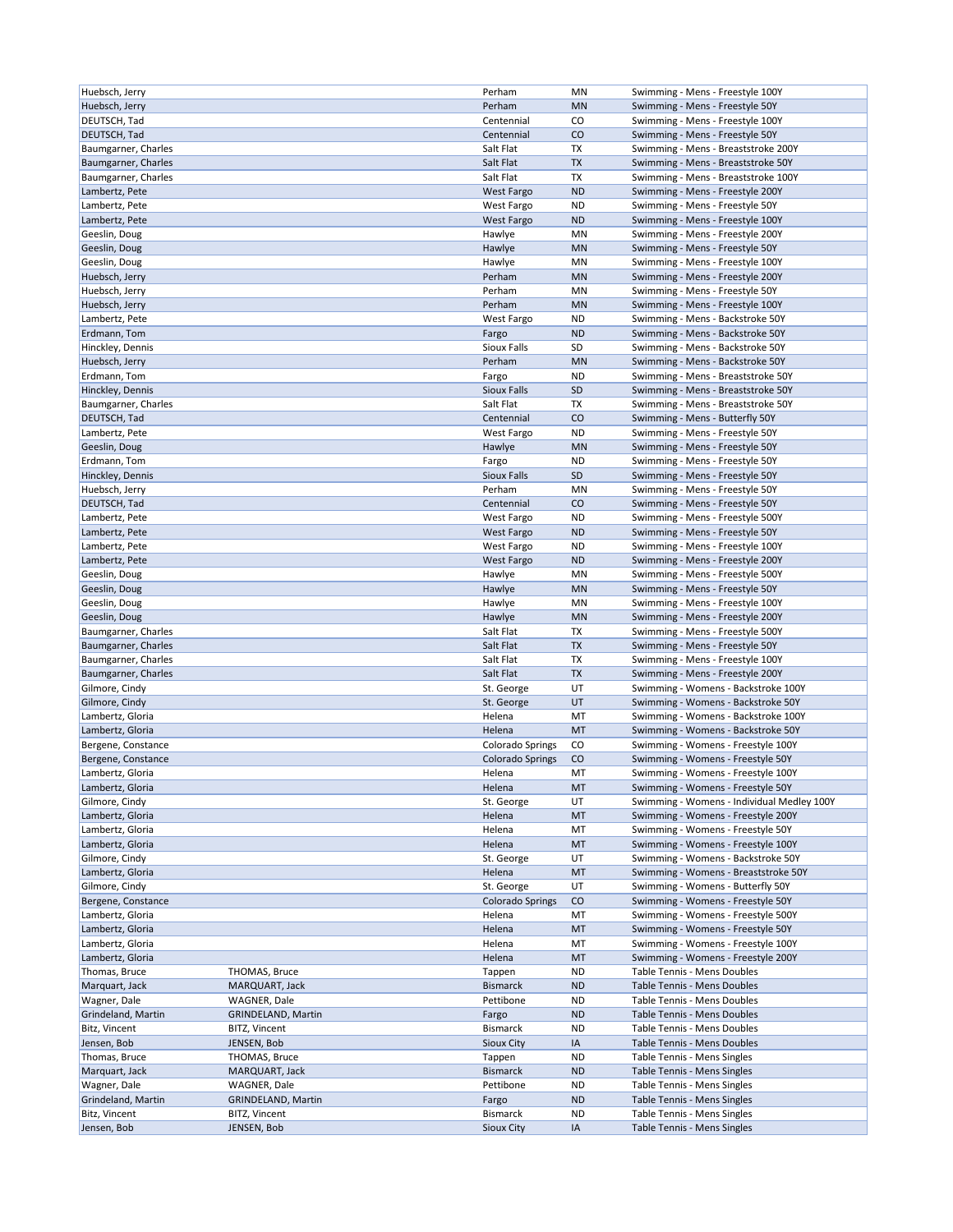| Huebsch, Jerry               |                              |                                      |                 |                                                            |
|------------------------------|------------------------------|--------------------------------------|-----------------|------------------------------------------------------------|
|                              |                              | Perham                               | ΜN              | Swimming - Mens - Freestyle 100Y                           |
| Huebsch, Jerry               |                              | Perham                               | <b>MN</b>       | Swimming - Mens - Freestyle 50Y                            |
| DEUTSCH, Tad                 |                              | Centennial                           | CO              | Swimming - Mens - Freestyle 100Y                           |
|                              |                              |                                      |                 |                                                            |
| DEUTSCH, Tad                 |                              | Centennial                           | CO              | Swimming - Mens - Freestyle 50Y                            |
| Baumgarner, Charles          |                              | Salt Flat                            | TX              | Swimming - Mens - Breaststroke 200Y                        |
| Baumgarner, Charles          |                              | Salt Flat                            | TX              | Swimming - Mens - Breaststroke 50Y                         |
| Baumgarner, Charles          |                              | Salt Flat                            | TX              | Swimming - Mens - Breaststroke 100Y                        |
| Lambertz, Pete               |                              | <b>West Fargo</b>                    | <b>ND</b>       | Swimming - Mens - Freestyle 200Y                           |
|                              |                              |                                      |                 |                                                            |
| Lambertz, Pete               |                              | West Fargo                           | <b>ND</b>       | Swimming - Mens - Freestyle 50Y                            |
| Lambertz, Pete               |                              | West Fargo                           | <b>ND</b>       | Swimming - Mens - Freestyle 100Y                           |
| Geeslin, Doug                |                              | Hawlye                               | MN              | Swimming - Mens - Freestyle 200Y                           |
| Geeslin, Doug                |                              | Hawlye                               | <b>MN</b>       | Swimming - Mens - Freestyle 50Y                            |
| Geeslin, Doug                |                              | Hawlye                               | MN              | Swimming - Mens - Freestyle 100Y                           |
|                              |                              |                                      |                 |                                                            |
| Huebsch, Jerry               |                              | Perham                               | <b>MN</b>       | Swimming - Mens - Freestyle 200Y                           |
| Huebsch, Jerry               |                              | Perham                               | MN              | Swimming - Mens - Freestyle 50Y                            |
| Huebsch, Jerry               |                              | Perham                               | <b>MN</b>       | Swimming - Mens - Freestyle 100Y                           |
| Lambertz, Pete               |                              | West Fargo                           | <b>ND</b>       | Swimming - Mens - Backstroke 50Y                           |
| Erdmann, Tom                 |                              | Fargo                                | <b>ND</b>       | Swimming - Mens - Backstroke 50Y                           |
|                              |                              |                                      |                 |                                                            |
| Hinckley, Dennis             |                              | Sioux Falls                          | SD              | Swimming - Mens - Backstroke 50Y                           |
| Huebsch, Jerry               |                              | Perham                               | <b>MN</b>       | Swimming - Mens - Backstroke 50Y                           |
| Erdmann, Tom                 |                              | Fargo                                | <b>ND</b>       | Swimming - Mens - Breaststroke 50Y                         |
| Hinckley, Dennis             |                              | Sioux Falls                          | <b>SD</b>       | Swimming - Mens - Breaststroke 50Y                         |
| Baumgarner, Charles          |                              | Salt Flat                            | ТX              | Swimming - Mens - Breaststroke 50Y                         |
|                              |                              |                                      |                 |                                                            |
| DEUTSCH, Tad                 |                              | Centennial                           | CO              | Swimming - Mens - Butterfly 50Y                            |
| Lambertz, Pete               |                              | West Fargo                           | ND              | Swimming - Mens - Freestyle 50Y                            |
| Geeslin, Doug                |                              | Hawlye                               | <b>MN</b>       | Swimming - Mens - Freestyle 50Y                            |
| Erdmann, Tom                 |                              | Fargo                                | ND              | Swimming - Mens - Freestyle 50Y                            |
| Hinckley, Dennis             |                              | Sioux Falls                          | <b>SD</b>       | Swimming - Mens - Freestyle 50Y                            |
|                              |                              |                                      |                 |                                                            |
| Huebsch, Jerry               |                              | Perham                               | MN              | Swimming - Mens - Freestyle 50Y                            |
| DEUTSCH, Tad                 |                              | Centennial                           | CO              | Swimming - Mens - Freestyle 50Y                            |
| Lambertz, Pete               |                              | West Fargo                           | ND              | Swimming - Mens - Freestyle 500Y                           |
| Lambertz, Pete               |                              | <b>West Fargo</b>                    | <b>ND</b>       | Swimming - Mens - Freestyle 50Y                            |
|                              |                              |                                      |                 |                                                            |
| Lambertz, Pete               |                              | West Fargo                           | <b>ND</b>       | Swimming - Mens - Freestyle 100Y                           |
| Lambertz, Pete               |                              | <b>West Fargo</b>                    | <b>ND</b>       | Swimming - Mens - Freestyle 200Y                           |
| Geeslin, Doug                |                              | Hawlye                               | MN              | Swimming - Mens - Freestyle 500Y                           |
| Geeslin, Doug                |                              | Hawlye                               | <b>MN</b>       | Swimming - Mens - Freestyle 50Y                            |
| Geeslin, Doug                |                              | Hawlye                               | MN              | Swimming - Mens - Freestyle 100Y                           |
| Geeslin, Doug                |                              | Hawlye                               | <b>MN</b>       |                                                            |
|                              |                              |                                      |                 | Swimming - Mens - Freestyle 200Y                           |
| Baumgarner, Charles          |                              | Salt Flat                            | TX              | Swimming - Mens - Freestyle 500Y                           |
| Baumgarner, Charles          |                              | Salt Flat                            | TX              | Swimming - Mens - Freestyle 50Y                            |
| Baumgarner, Charles          |                              | Salt Flat                            | <b>TX</b>       | Swimming - Mens - Freestyle 100Y                           |
| Baumgarner, Charles          |                              | Salt Flat                            | TX              | Swimming - Mens - Freestyle 200Y                           |
|                              |                              |                                      |                 |                                                            |
|                              |                              |                                      |                 |                                                            |
| Gilmore, Cindy               |                              | St. George                           | UT              | Swimming - Womens - Backstroke 100Y                        |
| Gilmore, Cindy               |                              | St. George                           | UT              | Swimming - Womens - Backstroke 50Y                         |
| Lambertz, Gloria             |                              | Helena                               | MT              | Swimming - Womens - Backstroke 100Y                        |
| Lambertz, Gloria             |                              | Helena                               | MT              | Swimming - Womens - Backstroke 50Y                         |
|                              |                              |                                      |                 |                                                            |
| Bergene, Constance           |                              | Colorado Springs                     | CO              | Swimming - Womens - Freestyle 100Y                         |
| Bergene, Constance           |                              | Colorado Springs                     | CO              | Swimming - Womens - Freestyle 50Y                          |
| Lambertz, Gloria             |                              | Helena                               | MT              | Swimming - Womens - Freestyle 100Y                         |
| Lambertz, Gloria             |                              | Helena                               | MT              | Swimming - Womens - Freestyle 50Y                          |
| Gilmore, Cindy               |                              |                                      | UT              | Swimming - Womens - Individual Medley 100Y                 |
|                              |                              | St. George                           |                 |                                                            |
| Lambertz, Gloria             |                              | Helena                               | MT              | Swimming - Womens - Freestyle 200Y                         |
| Lambertz, Gloria             |                              | Helena                               | МT              | Swimming - Womens - Freestyle 50Y                          |
| Lambertz, Gloria             |                              | Helena                               | MT              | Swimming - Womens - Freestyle 100Y                         |
| Gilmore, Cindy               |                              | St. George                           | UT              | Swimming - Womens - Backstroke 50Y                         |
| Lambertz, Gloria             |                              | Helena                               | MT              | Swimming - Womens - Breaststroke 50Y                       |
|                              |                              |                                      |                 |                                                            |
| Gilmore, Cindy               |                              | St. George                           | UT              | Swimming - Womens - Butterfly 50Y                          |
| Bergene, Constance           |                              | <b>Colorado Springs</b>              | CO              | Swimming - Womens - Freestyle 50Y                          |
| Lambertz, Gloria             |                              | Helena                               | МT              | Swimming - Womens - Freestyle 500Y                         |
| Lambertz, Gloria             |                              | Helena                               | MT              | Swimming - Womens - Freestyle 50Y                          |
| Lambertz, Gloria             |                              | Helena                               | MT              | Swimming - Womens - Freestyle 100Y                         |
| Lambertz, Gloria             |                              | Helena                               | MT              | Swimming - Womens - Freestyle 200Y                         |
|                              |                              |                                      |                 |                                                            |
| Thomas, Bruce                | THOMAS, Bruce                | Tappen                               | <b>ND</b>       | Table Tennis - Mens Doubles                                |
| Marquart, Jack               | MARQUART, Jack               | <b>Bismarck</b>                      | <b>ND</b>       | Table Tennis - Mens Doubles                                |
| Wagner, Dale                 | WAGNER, Dale                 | Pettibone                            | ND              | Table Tennis - Mens Doubles                                |
| Grindeland, Martin           | <b>GRINDELAND, Martin</b>    | Fargo                                | <b>ND</b>       | Table Tennis - Mens Doubles                                |
| Bitz, Vincent                | BITZ, Vincent                | <b>Bismarck</b>                      | ND              | Table Tennis - Mens Doubles                                |
|                              |                              |                                      |                 |                                                            |
| Jensen, Bob                  | JENSEN, Bob                  | Sioux City                           | IA              | Table Tennis - Mens Doubles                                |
| Thomas, Bruce                | THOMAS, Bruce                | Tappen                               | ND              | Table Tennis - Mens Singles                                |
| Marquart, Jack               | MARQUART, Jack               | <b>Bismarck</b>                      | <b>ND</b>       | Table Tennis - Mens Singles                                |
| Wagner, Dale                 | WAGNER, Dale                 | Pettibone                            | ND              | Table Tennis - Mens Singles                                |
| Grindeland, Martin           | <b>GRINDELAND, Martin</b>    | Fargo                                | <b>ND</b>       | Table Tennis - Mens Singles                                |
|                              |                              |                                      |                 |                                                            |
| Bitz, Vincent<br>Jensen, Bob | BITZ, Vincent<br>JENSEN, Bob | <b>Bismarck</b><br><b>Sioux City</b> | <b>ND</b><br>IA | Table Tennis - Mens Singles<br>Table Tennis - Mens Singles |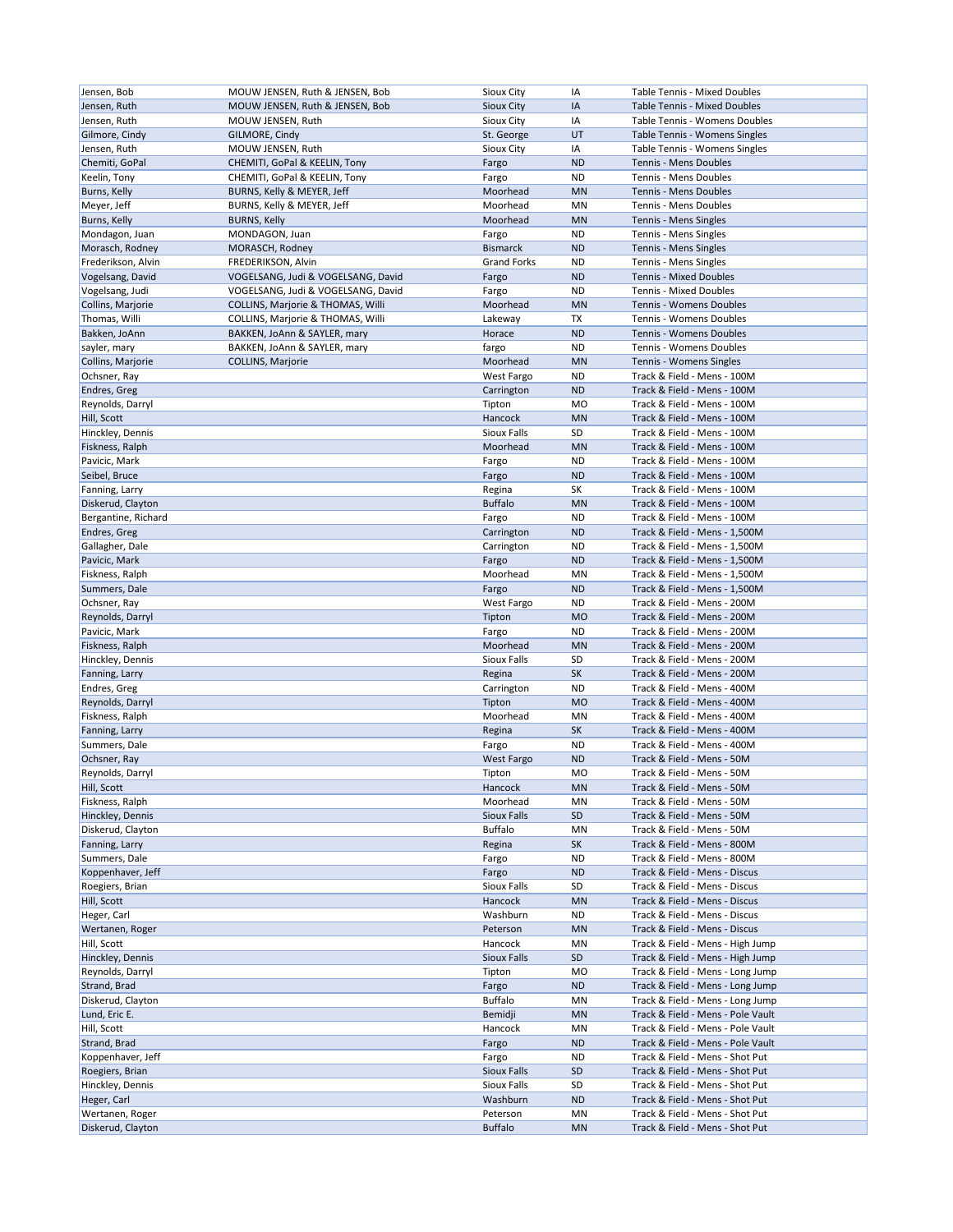| Jensen, Bob         | MOUW JENSEN, Ruth & JENSEN, Bob    | Sioux City         | IA        | Table Tennis - Mixed Doubles      |
|---------------------|------------------------------------|--------------------|-----------|-----------------------------------|
| Jensen, Ruth        | MOUW JENSEN, Ruth & JENSEN, Bob    | <b>Sioux City</b>  | IA        | Table Tennis - Mixed Doubles      |
| Jensen, Ruth        | MOUW JENSEN, Ruth                  | Sioux City         | IA        | Table Tennis - Womens Doubles     |
| Gilmore, Cindy      | GILMORE, Cindy                     | St. George         | UT        | Table Tennis - Womens Singles     |
| Jensen, Ruth        | MOUW JENSEN, Ruth                  | Sioux City         | ΙA        | Table Tennis - Womens Singles     |
| Chemiti, GoPal      | CHEMITI, GoPal & KEELIN, Tony      | Fargo              | <b>ND</b> | Tennis - Mens Doubles             |
|                     |                                    |                    | <b>ND</b> | Tennis - Mens Doubles             |
| Keelin, Tony        | CHEMITI, GoPal & KEELIN, Tony      | Fargo              |           |                                   |
| Burns, Kelly        | BURNS, Kelly & MEYER, Jeff         | Moorhead           | <b>MN</b> | Tennis - Mens Doubles             |
| Meyer, Jeff         | BURNS, Kelly & MEYER, Jeff         | Moorhead           | MN        | Tennis - Mens Doubles             |
| Burns, Kelly        | <b>BURNS, Kelly</b>                | Moorhead           | <b>MN</b> | Tennis - Mens Singles             |
| Mondagon, Juan      | MONDAGON, Juan                     | Fargo              | <b>ND</b> | Tennis - Mens Singles             |
| Morasch, Rodney     | MORASCH, Rodney                    | <b>Bismarck</b>    | <b>ND</b> | Tennis - Mens Singles             |
| Frederikson, Alvin  | FREDERIKSON, Alvin                 | <b>Grand Forks</b> | <b>ND</b> | Tennis - Mens Singles             |
| Vogelsang, David    | VOGELSANG, Judi & VOGELSANG, David | Fargo              | <b>ND</b> | Tennis - Mixed Doubles            |
|                     |                                    |                    |           |                                   |
| Vogelsang, Judi     | VOGELSANG, Judi & VOGELSANG, David | Fargo              | <b>ND</b> | Tennis - Mixed Doubles            |
| Collins, Marjorie   | COLLINS, Marjorie & THOMAS, Willi  | Moorhead           | <b>MN</b> | Tennis - Womens Doubles           |
| Thomas, Willi       | COLLINS, Marjorie & THOMAS, Willi  | Lakeway            | TX        | Tennis - Womens Doubles           |
| Bakken, JoAnn       | BAKKEN, JoAnn & SAYLER, mary       | Horace             | <b>ND</b> | Tennis - Womens Doubles           |
| sayler, mary        | BAKKEN, JoAnn & SAYLER, mary       | fargo              | <b>ND</b> | Tennis - Womens Doubles           |
| Collins, Marjorie   | COLLINS, Marjorie                  | Moorhead           | <b>MN</b> | Tennis - Womens Singles           |
|                     |                                    |                    | <b>ND</b> | Track & Field - Mens - 100M       |
| Ochsner, Ray        |                                    | West Fargo         |           |                                   |
| Endres, Greg        |                                    | Carrington         | <b>ND</b> | Track & Field - Mens - 100M       |
| Reynolds, Darryl    |                                    | Tipton             | <b>MO</b> | Track & Field - Mens - 100M       |
| Hill, Scott         |                                    | Hancock            | <b>MN</b> | Track & Field - Mens - 100M       |
| Hinckley, Dennis    |                                    | Sioux Falls        | SD        | Track & Field - Mens - 100M       |
| Fiskness, Ralph     |                                    | Moorhead           | <b>MN</b> | Track & Field - Mens - 100M       |
| Pavicic, Mark       |                                    | Fargo              | ND        | Track & Field - Mens - 100M       |
| Seibel, Bruce       |                                    |                    | <b>ND</b> | Track & Field - Mens - 100M       |
|                     |                                    | Fargo              |           |                                   |
| Fanning, Larry      |                                    | Regina             | SΚ        | Track & Field - Mens - 100M       |
| Diskerud, Clayton   |                                    | <b>Buffalo</b>     | <b>MN</b> | Track & Field - Mens - 100M       |
| Bergantine, Richard |                                    | Fargo              | ND        | Track & Field - Mens - 100M       |
| Endres, Greg        |                                    | Carrington         | <b>ND</b> | Track & Field - Mens - 1,500M     |
| Gallagher, Dale     |                                    | Carrington         | <b>ND</b> | Track & Field - Mens - 1,500M     |
| Pavicic, Mark       |                                    | Fargo              | <b>ND</b> | Track & Field - Mens - 1,500M     |
| Fiskness, Ralph     |                                    | Moorhead           | MN        | Track & Field - Mens - 1,500M     |
|                     |                                    |                    |           |                                   |
| Summers, Dale       |                                    | Fargo              | <b>ND</b> | Track & Field - Mens - 1,500M     |
| Ochsner, Ray        |                                    | West Fargo         | <b>ND</b> | Track & Field - Mens - 200M       |
| Reynolds, Darryl    |                                    | Tipton             | <b>MO</b> | Track & Field - Mens - 200M       |
| Pavicic, Mark       |                                    | Fargo              | <b>ND</b> | Track & Field - Mens - 200M       |
| Fiskness, Ralph     |                                    | Moorhead           | <b>MN</b> | Track & Field - Mens - 200M       |
| Hinckley, Dennis    |                                    | Sioux Falls        | SD        | Track & Field - Mens - 200M       |
| Fanning, Larry      |                                    | Regina             | SK        | Track & Field - Mens - 200M       |
| Endres, Greg        |                                    |                    | <b>ND</b> | Track & Field - Mens - 400M       |
|                     |                                    | Carrington         |           |                                   |
| Reynolds, Darryl    |                                    | Tipton             | <b>MO</b> | Track & Field - Mens - 400M       |
| Fiskness, Ralph     |                                    | Moorhead           | MN        | Track & Field - Mens - 400M       |
| Fanning, Larry      |                                    | Regina             | SK        | Track & Field - Mens - 400M       |
| Summers, Dale       |                                    | Fargo              | <b>ND</b> | Track & Field - Mens - 400M       |
| Ochsner, Ray        |                                    | <b>West Fargo</b>  | <b>ND</b> | Track & Field - Mens - 50M        |
| Reynolds, Darryl    |                                    | Tipton             | MO        | Track & Field - Mens - 50M        |
| Hill, Scott         |                                    | Hancock            | <b>MN</b> | Track & Field - Mens - 50M        |
|                     |                                    |                    |           | Track & Field - Mens - 50M        |
| Fiskness, Ralph     |                                    | Moorhead           | ΜN        |                                   |
| Hinckley, Dennis    |                                    | Sioux Falls        | SD        | Track & Field - Mens - 50M        |
| Diskerud, Clayton   |                                    | <b>Buffalo</b>     | MN        | Track & Field - Mens - 50M        |
| Fanning, Larry      |                                    | Regina             | SK        | Track & Field - Mens - 800M       |
| Summers, Dale       |                                    | Fargo              | <b>ND</b> | Track & Field - Mens - 800M       |
| Koppenhaver, Jeff   |                                    | Fargo              | <b>ND</b> | Track & Field - Mens - Discus     |
| Roegiers, Brian     |                                    | Sioux Falls        | SD        | Track & Field - Mens - Discus     |
|                     |                                    |                    |           |                                   |
| Hill, Scott         |                                    | Hancock            | MN        | Track & Field - Mens - Discus     |
| Heger, Carl         |                                    | Washburn           | ND        | Track & Field - Mens - Discus     |
| Wertanen, Roger     |                                    | Peterson           | MN        | Track & Field - Mens - Discus     |
| Hill, Scott         |                                    | Hancock            | MN        | Track & Field - Mens - High Jump  |
| Hinckley, Dennis    |                                    | Sioux Falls        | SD        | Track & Field - Mens - High Jump  |
| Reynolds, Darryl    |                                    | Tipton             | MO        | Track & Field - Mens - Long Jump  |
| Strand, Brad        |                                    | Fargo              | <b>ND</b> | Track & Field - Mens - Long Jump  |
|                     |                                    |                    |           |                                   |
| Diskerud, Clayton   |                                    | <b>Buffalo</b>     | MN        | Track & Field - Mens - Long Jump  |
| Lund, Eric E.       |                                    | Bemidji            | MN        | Track & Field - Mens - Pole Vault |
| Hill, Scott         |                                    | Hancock            | ΜN        | Track & Field - Mens - Pole Vault |
| Strand, Brad        |                                    | Fargo              | ND        | Track & Field - Mens - Pole Vault |
| Koppenhaver, Jeff   |                                    | Fargo              | ND        | Track & Field - Mens - Shot Put   |
| Roegiers, Brian     |                                    | Sioux Falls        | SD        | Track & Field - Mens - Shot Put   |
| Hinckley, Dennis    |                                    | Sioux Falls        | SD        | Track & Field - Mens - Shot Put   |
|                     |                                    | Washburn           | <b>ND</b> | Track & Field - Mens - Shot Put   |
| Heger, Carl         |                                    |                    |           |                                   |
| Wertanen, Roger     |                                    | Peterson           | MN        | Track & Field - Mens - Shot Put   |
| Diskerud, Clayton   |                                    | <b>Buffalo</b>     | <b>MN</b> | Track & Field - Mens - Shot Put   |